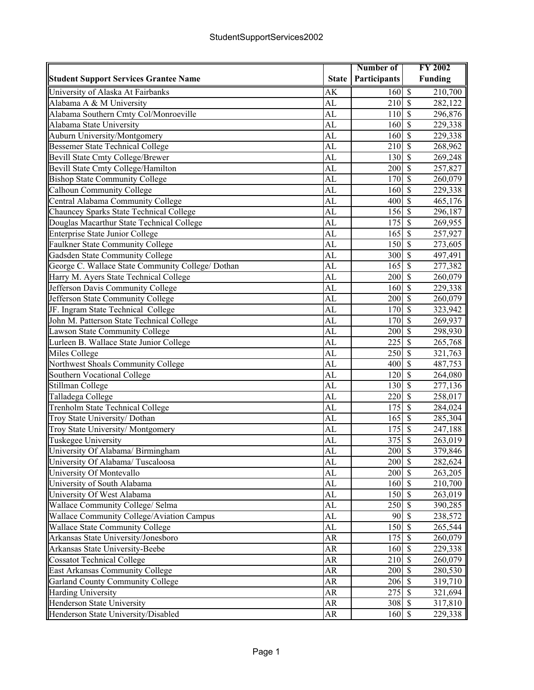|                                                   |                        | Number of                                          | <b>FY 2002</b>                                   |
|---------------------------------------------------|------------------------|----------------------------------------------------|--------------------------------------------------|
| <b>Student Support Services Grantee Name</b>      | <b>State</b>           | Participants                                       | <b>Funding</b>                                   |
| University of Alaska At Fairbanks                 | AK                     | 160                                                | $\overline{\mathcal{S}}$<br>210,700              |
| Alabama A & M University                          | <b>AL</b>              | 210                                                | $\overline{\mathcal{S}}$<br>282,122              |
| Alabama Southern Cmty Col/Monroeville             | AL                     | 110                                                | $\overline{\mathcal{S}}$<br>296,876              |
| Alabama State University                          | AL                     | 160                                                | $\overline{\mathcal{S}}$<br>229,338              |
| Auburn University/Montgomery                      | AL                     | 160                                                | $\mathcal{S}$<br>229,338                         |
| <b>Bessemer State Technical College</b>           | <b>AL</b>              | 210                                                | $\mathcal{S}$<br>268,962                         |
| Bevill State Cmty College/Brewer                  | AL                     | 130                                                | $\mathcal{S}$<br>269,248                         |
| Bevill State Cmty College/Hamilton                | AL                     | 200                                                | $\mathcal{S}$<br>257,827                         |
| <b>Bishop State Community College</b>             | <b>AL</b>              | 170                                                | $\overline{\mathcal{S}}$<br>260,079              |
| <b>Calhoun Community College</b>                  | AL                     | 160                                                | $\overline{\mathcal{S}}$<br>229,338              |
| Central Alabama Community College                 | AL                     | 400                                                | $\overline{\mathcal{S}}$<br>465,176              |
| Chauncey Sparks State Technical College           | $\overline{\text{AL}}$ | 156                                                | $\overline{\mathcal{S}}$<br>296,187              |
| Douglas Macarthur State Technical College         | AL                     | 175                                                | $\overline{\mathcal{S}}$<br>269,955              |
| Enterprise State Junior College                   | AL                     | 165                                                | $\overline{\mathcal{S}}$<br>257,927              |
| Faulkner State Community College                  | $\overline{\text{AL}}$ | 150                                                | $\overline{\mathcal{S}}$<br>273,605              |
| Gadsden State Community College                   | AL                     | 300                                                | $\overline{\mathcal{S}}$<br>497,491              |
| George C. Wallace State Community College/ Dothan | AL                     | 165                                                | $\mathcal{S}$<br>277,382                         |
| Harry M. Ayers State Technical College            | <b>AL</b>              | 200                                                | $\mathcal{S}$<br>260,079                         |
| Jefferson Davis Community College                 | AL                     | 160                                                | $\mathcal{S}$<br>229,338                         |
| Jefferson State Community College                 | <b>AL</b>              | 200                                                | $\mathcal{S}$<br>260,079                         |
| JF. Ingram State Technical College                | <b>AL</b>              | 170                                                | $\overline{\mathcal{S}}$<br>323,942              |
| John M. Patterson State Technical College         | AL                     | 170                                                | $\overline{\mathcal{S}}$<br>269,937              |
| Lawson State Community College                    | <b>AL</b>              | 200                                                | $\overline{\mathcal{S}}$<br>298,930              |
| Lurleen B. Wallace State Junior College           | $\overline{\text{AL}}$ | 225                                                | $\overline{\mathcal{S}}$<br>265,768              |
| Miles College                                     | AL                     | 250                                                | $\overline{\mathcal{S}}$<br>$\overline{321,}763$ |
| Northwest Shoals Community College                | AL                     | 400                                                | $\overline{\mathbf{s}}$<br>487,753               |
| Southern Vocational College                       | AL                     | 120                                                | $\overline{\mathcal{S}}$<br>264,080              |
| Stillman College                                  | AL                     | 130                                                | $\overline{\mathcal{S}}$<br>277,136              |
| Talladega College                                 | AL                     | 220                                                | $\overline{\mathcal{S}}$<br>258,017              |
| <b>Trenholm State Technical College</b>           | AL                     | 175                                                | $\mathcal{S}$<br>284,024                         |
| Troy State University/ Dothan                     | <b>AL</b>              | 165                                                | $\mathcal{S}$<br>285,304                         |
| Troy State University/ Montgomery                 | AL                     | 175                                                | $\mathcal{S}$<br>247,188                         |
| Tuskegee University                               | AL                     | 375                                                | $\mathcal{S}$<br>263,019                         |
| University Of Alabama/ Birmingham                 | AL                     | 200S                                               | 379,846                                          |
| University Of Alabama/ Tuscaloosa                 | AL                     | 200                                                | $\mathcal{S}$<br>282,624                         |
| University Of Montevallo                          | AL                     | $200\sqrt{3}$                                      | 263,205                                          |
| University of South Alabama                       | AL                     | 160S                                               | 210,700                                          |
| University Of West Alabama                        | AL                     | 150                                                | $\overline{\mathcal{S}}$<br>263,019              |
| Wallace Community College/ Selma                  | AL                     | 250                                                | $\overline{\mathcal{S}}$<br>390,285              |
| Wallace Community College/Aviation Campus         | AL                     | 90                                                 | $\overline{\mathcal{S}}$<br>238,572              |
| Wallace State Community College                   | AL                     | 150                                                | $\sqrt{S}$<br>265,544                            |
| Arkansas State University/Jonesboro               | AR                     | $175$ \$                                           | 260,079                                          |
| Arkansas State University-Beebe                   | AR                     | 160S                                               | 229,338                                          |
| <b>Cossatot Technical College</b>                 | AR                     | 210                                                | $\mathbf{\hat{S}}$<br>260,079                    |
| East Arkansas Community College                   | AR                     | 200S                                               | 280,530                                          |
| Garland County Community College                  | AR                     | $206 \overline{\smash{)}\,}$ \$                    | 319,710                                          |
| <b>Harding University</b>                         | AR                     | $275 \overline{\smash{)}\, \overline{\smash{)}}\,$ | 321,694                                          |
| Henderson State University                        | AR                     | $308 \overline{\smash{)}\,5}$                      | 317,810                                          |
| Henderson State University/Disabled               | ${\sf AR}$             | 160S                                               | 229,338                                          |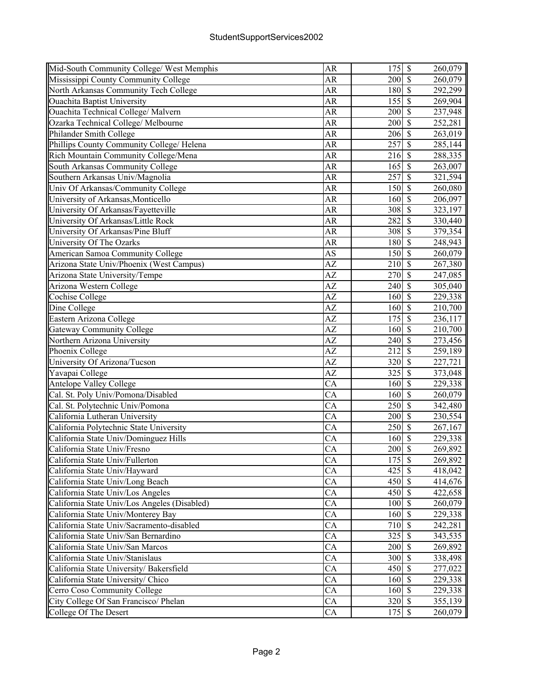| Mid-South Community College/ West Memphis    | <b>AR</b>       | 175                             | $\overline{\mathcal{S}}$  | 260,079 |
|----------------------------------------------|-----------------|---------------------------------|---------------------------|---------|
| Mississippi County Community College         | AR              | 200                             | $\overline{\mathcal{S}}$  | 260,079 |
| North Arkansas Community Tech College        | <b>AR</b>       | 180                             | $\overline{\mathcal{S}}$  | 292,299 |
| <b>Ouachita Baptist University</b>           | <b>AR</b>       | 155                             | $\overline{\mathcal{S}}$  | 269,904 |
| Ouachita Technical College Malvern           | AR              | 200                             | $\mathcal{S}$             | 237,948 |
| Ozarka Technical College/ Melbourne          | <b>AR</b>       | 200                             | $\overline{\mathbf{s}}$   | 252,281 |
| Philander Smith College                      | <b>AR</b>       | 206                             | $\mathcal{S}$             | 263,019 |
| Phillips County Community College/ Helena    | <b>AR</b>       | 257                             | $\overline{\mathcal{S}}$  | 285,144 |
| Rich Mountain Community College/Mena         | <b>AR</b>       | 216                             | $\overline{\mathcal{S}}$  | 288,335 |
| South Arkansas Community College             | <b>AR</b>       | 165                             | $\overline{\mathcal{S}}$  | 263,007 |
| Southern Arkansas Univ/Magnolia              | <b>AR</b>       | 257                             | $\overline{\mathcal{S}}$  | 321,594 |
| Univ Of Arkansas/Community College           | <b>AR</b>       | 150                             | $\overline{\mathcal{S}}$  | 260,080 |
| University of Arkansas, Monticello           | <b>AR</b>       | 160                             | $\overline{\mathcal{S}}$  | 206,097 |
| University Of Arkansas/Fayetteville          | AR              | 308                             | $\overline{\mathcal{S}}$  | 323,197 |
| University Of Arkansas/Little Rock           | <b>AR</b>       | 282                             | $\overline{\mathcal{S}}$  | 330,440 |
| University Of Arkansas/Pine Bluff            | <b>AR</b>       | 308                             | $\overline{\mathcal{S}}$  | 379,354 |
| University Of The Ozarks                     | AR              | 180                             | $\overline{\mathcal{S}}$  | 248,943 |
| American Samoa Community College             | <b>AS</b>       | 150                             | $\overline{\mathcal{S}}$  | 260,079 |
| Arizona State Univ/Phoenix (West Campus)     | AZ              | 210                             | $\mathcal{S}$             | 267,380 |
| Arizona State University/Tempe               | $\overline{AZ}$ | 270                             | $\overline{\mathcal{S}}$  | 247,085 |
| Arizona Western College                      | AZ              | 240                             | $\overline{\mathcal{S}}$  | 305,040 |
| Cochise College                              | AZ              | 160                             | $\overline{\mathcal{S}}$  | 229,338 |
| Dine College                                 | $\overline{AZ}$ | 160                             | $\overline{\mathcal{S}}$  | 210,700 |
| Eastern Arizona College                      | AZ              | 175                             | $\overline{\mathcal{S}}$  | 236,117 |
| <b>Gateway Community College</b>             | AZ              | 160                             | $\overline{\mathcal{S}}$  | 210,700 |
| Northern Arizona University                  | AZ              | 240                             | $\sqrt{S}$                | 273,456 |
| Phoenix College                              | $\overline{AZ}$ | 212                             | $\sqrt{3}$                | 259,189 |
| University Of Arizona/Tucson                 | AZ              | 320                             | $\overline{\mathcal{S}}$  | 227,721 |
| Yavapai College                              | AZ              | 325                             | $\overline{\mathcal{S}}$  | 373,048 |
| <b>Antelope Valley College</b>               | $\overline{CA}$ | 160                             | $\mathcal{S}$             | 229,338 |
| Cal. St. Poly Univ/Pomona/Disabled           | CA              | 160                             | $\mathcal{S}$             | 260,079 |
| Cal. St. Polytechnic Univ/Pomona             | CA              | 250                             | $\overline{\mathcal{S}}$  | 342,480 |
| California Lutheran University               | CA              | 200                             | $\overline{\mathcal{S}}$  | 230,554 |
| California Polytechnic State University      | CA              | 250                             | $\overline{\mathcal{S}}$  | 267,167 |
| California State Univ/Dominguez Hills        | CA              | 160                             | $\overline{\mathcal{S}}$  | 229,338 |
| California State Univ/Fresno                 | $\overline{CA}$ | 200                             | $\overline{\mathcal{S}}$  | 269,892 |
| California State Univ/Fullerton              | CA              | 175                             | $\boldsymbol{\mathsf{S}}$ | 269,892 |
| California State Univ/Hayward                | CA              | 425                             | $\overline{\mathcal{S}}$  | 418,042 |
| California State Univ/Long Beach             | CA              | 450                             | $\overline{\mathcal{S}}$  | 414,676 |
| California State Univ/Los Angeles            | CA              | 450                             | $\overline{\mathcal{S}}$  | 422,658 |
| California State Univ/Los Angeles (Disabled) | CA              | 100                             | $\mathcal{S}$             | 260,079 |
| California State Univ/Monterey Bay           | CA              | 160                             | $\mathcal{S}$             | 229,338 |
|                                              |                 |                                 | $\mathbf S$               |         |
| California State Univ/Sacramento-disabled    | CA              | 710                             |                           | 242,281 |
| California State Univ/San Bernardino         | CA              |                                 |                           | 343,535 |
| California State Univ/San Marcos             | CA              | 200                             | $\mathcal{S}$             | 269,892 |
| California State Univ/Stanislaus             | CA              | 300                             | $\mathcal{S}$             | 338,498 |
| California State University/ Bakersfield     | CA              | 450                             | $\overline{\mathcal{S}}$  | 277,022 |
| California State University/ Chico           | CA              | 160                             | $\overline{\mathcal{S}}$  | 229,338 |
| Cerro Coso Community College                 | CA              | $160\overline{\smash{\big)}\,}$ |                           | 229,338 |
| City College Of San Francisco/ Phelan        | CA              | $320\overline{\smash{5}}$       |                           | 355,139 |
| College Of The Desert                        | $\overline{CA}$ | $175 \overline{\smash{)}\,}$    |                           | 260,079 |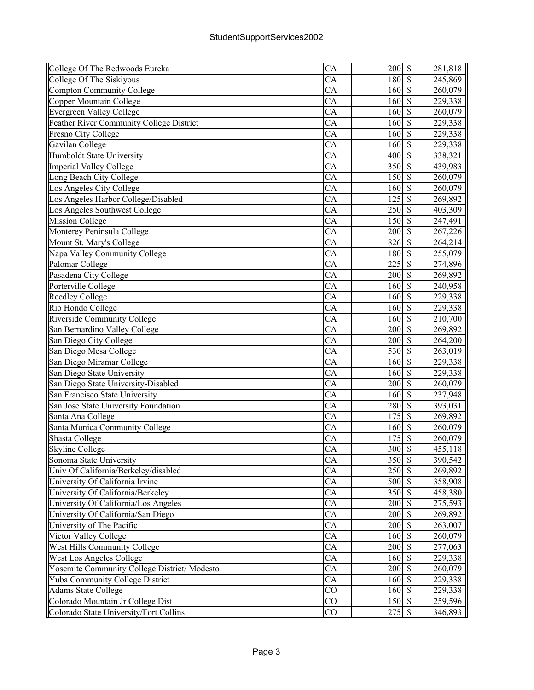| College Of The Redwoods Eureka              | CA              | 200    | $\boldsymbol{\mathsf{S}}$ | 281,818 |
|---------------------------------------------|-----------------|--------|---------------------------|---------|
| College Of The Siskiyous                    | CA              | 180    | $\mathcal{S}$             | 245,869 |
| <b>Compton Community College</b>            | CA              | 160    | $\mathcal{S}$             | 260,079 |
| Copper Mountain College                     | CA              | 160    | $\mathbf S$               | 229,338 |
| <b>Evergreen Valley College</b>             | CA              | 160    | $\mathcal{S}$             | 260,079 |
| Feather River Community College District    | CA              | 160    | $\overline{\mathcal{S}}$  | 229,338 |
| Fresno City College                         | CA              | 160    | $\mathcal{S}$             | 229,338 |
| Gavilan College                             | CA              | 160    | $\overline{\mathcal{S}}$  | 229,338 |
| <b>Humboldt State University</b>            | $\overline{CA}$ | 400    | $\overline{\mathcal{S}}$  | 338,321 |
| <b>Imperial Valley College</b>              | $\overline{CA}$ | 350    | $\overline{\mathcal{S}}$  | 439,983 |
| Long Beach City College                     | CA              | 150    | $\overline{\mathcal{S}}$  | 260,079 |
| Los Angeles City College                    | $\overline{CA}$ | 160    | $\overline{\mathcal{S}}$  | 260,079 |
| Los Angeles Harbor College/Disabled         | CA              | 125    | $\overline{\mathcal{S}}$  | 269,892 |
| Los Angeles Southwest College               | CA              | 250    | $\mathcal{S}$             | 403,309 |
| <b>Mission College</b>                      | CA              | 150    | $\mathcal{S}$             | 247,491 |
| Monterey Peninsula College                  | CA              | 200    | $\mathcal{S}$             | 267,226 |
| Mount St. Mary's College                    | CA              | 826    | $\mathcal{S}$             | 264,214 |
| Napa Valley Community College               | CA              | 180    | $\overline{\mathcal{S}}$  | 255,079 |
| Palomar College                             | CA              | 225    | $\overline{\mathcal{S}}$  | 274,896 |
| Pasadena City College                       | CA              | 200    | $\overline{\mathcal{S}}$  | 269,892 |
| Porterville College                         | CA              | 160    | $\overline{\mathcal{S}}$  | 240,958 |
| <b>Reedley College</b>                      | CA              | 160    | $\overline{\mathcal{S}}$  | 229,338 |
| Rio Hondo College                           | $\overline{CA}$ | 160    | $\overline{\mathcal{S}}$  | 229,338 |
| Riverside Community College                 | CA              | 160    | $\overline{\mathcal{S}}$  | 210,700 |
| San Bernardino Valley College               | $\overline{CA}$ | 200    | $\overline{\mathcal{S}}$  | 269,892 |
| San Diego City College                      | CA              | 200    | $\overline{\mathcal{S}}$  | 264,200 |
| San Diego Mesa College                      | CA              | 530    | $\mathcal{S}$             | 263,019 |
| San Diego Miramar College                   | CA              | 160    | $\overline{\mathcal{S}}$  | 229,338 |
| San Diego State University                  | CA              | 160    | $\mathcal{S}$             | 229,338 |
| San Diego State University-Disabled         | CA              | 200    | $\mathcal{S}$             | 260,079 |
| San Francisco State University              | CA              | 160    | $\overline{\mathcal{S}}$  | 237,948 |
| San Jose State University Foundation        | CA              | 280    | $\mathcal{S}$             | 393,031 |
| Santa Ana College                           | CA              | 175    | $\overline{\mathcal{S}}$  | 269,892 |
| Santa Monica Community College              | $\overline{CA}$ | 160    | $\overline{\mathcal{S}}$  | 260,079 |
| Shasta College                              | CA              | 175    | $\overline{\mathcal{S}}$  | 260,079 |
| <b>Skyline College</b>                      | $\overline{CA}$ | 300    | $\overline{\mathcal{S}}$  | 455,118 |
| Sonoma State University                     | CA              | 350 \$ |                           | 390,542 |
| Univ Of California/Berkeley/disabled        | CA              | 250    | $\overline{\mathcal{S}}$  | 269,892 |
| University Of California Irvine             | CA              | 500    | $\mathcal{S}$             | 358,908 |
| University Of California/Berkeley           | CA              | 350    | $\mathcal{S}$             | 458,380 |
| University Of California/Los Angeles        | CA              | 200    | $\mathbb{S}$              | 275,593 |
| University Of California/San Diego          | CA              | 200    | $\mathcal{S}$             | 269,892 |
| University of The Pacific                   | CA              | 200    | $\overline{\mathcal{S}}$  | 263,007 |
| Victor Valley College                       | CA              | 160    | $\overline{\mathcal{S}}$  | 260,079 |
| West Hills Community College                | CA              | 200    | $\overline{\mathcal{S}}$  | 277,063 |
| <b>West Los Angeles College</b>             | CA              | 160    | $\overline{\mathcal{S}}$  | 229,338 |
| Yosemite Community College District/Modesto | CA              | 200    | $\overline{\mathcal{S}}$  | 260,079 |
| Yuba Community College District             | CA              | 160    | $\overline{\mathcal{S}}$  | 229,338 |
| <b>Adams State College</b>                  | CO              | 160    | $\overline{\mathcal{S}}$  | 229,338 |
| Colorado Mountain Jr College Dist           | CO              | 150    | $\overline{\mathcal{S}}$  | 259,596 |
| Colorado State University/Fort Collins      | CO              | 275    | $\mathcal{S}$             | 346,893 |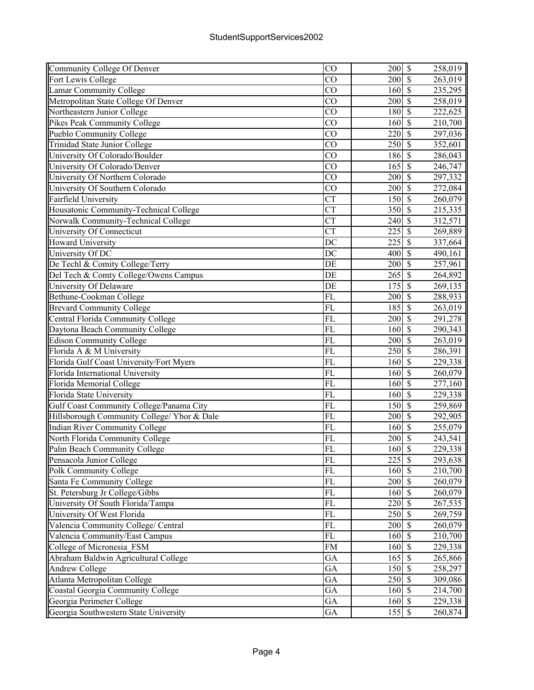| Community College Of Denver                 | CO                     | $200 \text{ s}$  |                          | 258,019 |
|---------------------------------------------|------------------------|------------------|--------------------------|---------|
| Fort Lewis College                          | CO                     | 200              | $\overline{\mathcal{S}}$ | 263,019 |
| Lamar Community College                     | $\overline{CO}$        | 160              | $\overline{\mathcal{S}}$ | 235,295 |
| Metropolitan State College Of Denver        | CO                     | 200              | $\mathcal{S}$            | 258,019 |
| Northeastern Junior College                 | CO                     | 180              | $\mathcal{S}$            | 222,625 |
| Pikes Peak Community College                | CO                     | 160              | $\overline{\mathcal{S}}$ | 210,700 |
| Pueblo Community College                    | CO                     | 220              | $\overline{\mathcal{S}}$ | 297,036 |
| <b>Trinidad State Junior College</b>        | CO                     | $\overline{250}$ | $\overline{\mathcal{S}}$ | 352,601 |
| University Of Colorado/Boulder              | CO                     | 186              | $\overline{\mathcal{S}}$ | 286,043 |
| University Of Colorado/Denver               | $\overline{CO}$        | 165              | $\overline{\mathcal{S}}$ | 246,747 |
| University Of Northern Colorado             | CO                     | 200              | $\overline{\mathcal{S}}$ | 297,332 |
| University Of Southern Colorado             | $\overline{CO}$        | 200              | $\sqrt{S}$               | 272,084 |
| <b>Fairfield University</b>                 | $\overline{\text{CT}}$ | 150              | $\sqrt{S}$               | 260,079 |
| Housatonic Community-Technical College      | <b>CT</b>              | 350              | $\overline{\mathcal{S}}$ | 215,335 |
| Norwalk Community-Technical College         | <b>CT</b>              | 240              | $\mathcal{S}$            | 312,571 |
| University Of Connecticut                   | <b>CT</b>              | 225              | $\overline{\mathcal{S}}$ | 269,889 |
| <b>Howard University</b>                    | DC                     | 225              | $\mathcal{S}$            | 337,664 |
| University Of DC                            | DC                     | 400              | $\mathcal{S}$            | 490,161 |
| De Techl & Comity College/Terry             | DE                     | 200              | $\overline{\mathcal{S}}$ | 257,961 |
| Del Tech & Comty College/Owens Campus       | DE                     | 265              | $\overline{\mathcal{S}}$ | 264,892 |
| University Of Delaware                      | DE                     | $\overline{175}$ | $\overline{\mathcal{S}}$ | 269,135 |
| Bethune-Cookman College                     | $\overline{FL}$        | $\overline{200}$ | $\overline{\mathcal{S}}$ | 288,933 |
| <b>Brevard Community College</b>            | FL                     | 185              | $\overline{\mathcal{S}}$ | 263,019 |
| Central Florida Community College           | $\overline{FL}$        | 200              | $\overline{\mathcal{S}}$ | 291,278 |
| Daytona Beach Community College             | FL                     | 160              | $\overline{\mathcal{S}}$ | 290,343 |
| <b>Edison Community College</b>             | FL                     | 200              | $\sqrt{S}$               | 263,019 |
| Florida A & M University                    | $\overline{FL}$        | 250              | $\overline{\mathcal{S}}$ | 286,391 |
| Florida Gulf Coast University/Fort Myers    | FL                     | 160              | $\mathcal{S}$            | 229,338 |
| Florida International University            | FL                     | 160              | $\mathcal{S}$            | 260,079 |
| Florida Memorial College                    | FL                     | 160              | $\mathcal{S}$            | 277,160 |
| Florida State University                    | FL                     | 160              | $\overline{\mathcal{S}}$ | 229,338 |
| Gulf Coast Community College/Panama City    | FL                     | 150              | $\overline{\mathcal{S}}$ | 259,869 |
| Hillsborough Community College/ Ybor & Dale | FL                     | 200              | $\overline{\mathcal{S}}$ | 292,905 |
| Indian River Community College              | FL                     | 160              | $\overline{\mathcal{S}}$ | 255,079 |
| North Florida Community College             | $\overline{FL}$        | 200              | $\overline{\mathcal{S}}$ | 243,541 |
| Palm Beach Community College                | $\overline{FL}$        | 160S             |                          | 229,338 |
| Pensacola Junior College                    | FL                     | $225$ \$         |                          | 293,638 |
| Polk Community College                      | $\overline{FL}$        | 160              | $\sqrt{S}$               | 210,700 |
| Santa Fe Community College                  | FL                     | 200              | $\sqrt{S}$               | 260,079 |
| St. Petersburg Jr College/Gibbs             | FL                     | 160              | $\mathbf{\hat{s}}$       | 260,079 |
| University Of South Florida/Tampa           | FL                     | 220              | $\mathcal{S}$            | 267,535 |
| University Of West Florida                  | FL                     | 250              | $\mathcal{S}$            | 269,759 |
| Valencia Community College/ Central         | FL                     | 200              | $\mathcal{S}$            | 260,079 |
| Valencia Community/East Campus              | FL                     | 160              | $\sqrt{s}$               | 210,700 |
| College of Micronesia FSM                   | <b>FM</b>              | 160              | $\mathbf{\hat{s}}$       | 229,338 |
| Abraham Baldwin Agricultural College        | GA                     | 165              | $\sqrt{s}$               | 265,866 |
| <b>Andrew College</b>                       | GA                     | 150              | $\sqrt{S}$               | 258,297 |
| Atlanta Metropolitan College                | GA                     | 250              | $\overline{\mathcal{S}}$ | 309,086 |
| Coastal Georgia Community College           | GA                     | 160              | $\overline{\mathcal{S}}$ | 214,700 |
| Georgia Perimeter College                   | GA                     | 160              | $\sqrt{S}$               | 229,338 |
| Georgia Southwestern State University       | GA                     | 155 \$           |                          | 260,874 |
|                                             |                        |                  |                          |         |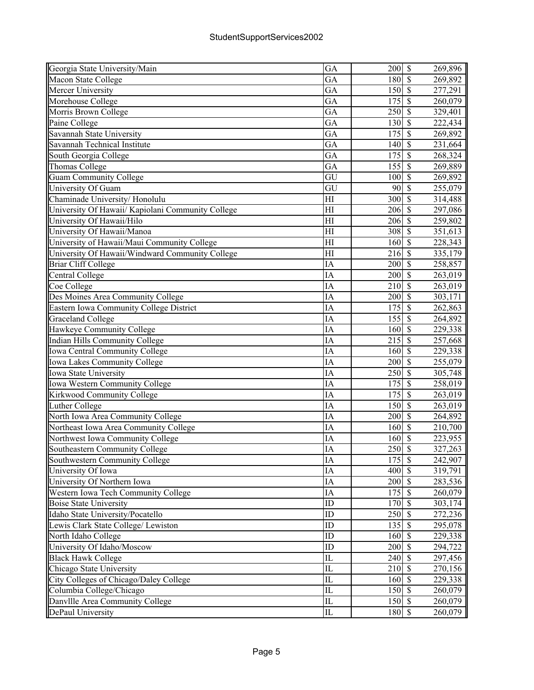| Georgia State University/Main                     | GA                     | 200 \$                      |                           |                          | 269,896 |
|---------------------------------------------------|------------------------|-----------------------------|---------------------------|--------------------------|---------|
| Macon State College                               | GA                     | 180                         | $\overline{\mathcal{S}}$  |                          | 269,892 |
| Mercer University                                 | GA                     | 150                         | $\sqrt{s}$                |                          | 277,291 |
| Morehouse College                                 | GA                     | 175                         | $\mathcal{S}$             |                          | 260,079 |
| Morris Brown College                              | GA                     | 250                         | $\mathcal{S}$             |                          | 329,401 |
| Paine College                                     | GA                     | 130                         | $\mathbf{\hat{S}}$        |                          | 222,434 |
| Savannah State University                         | GA                     | 175                         | $\mathcal{S}$             |                          | 269,892 |
| Savannah Technical Institute                      | GA                     | 140                         | $\overline{\mathcal{S}}$  |                          | 231,664 |
| South Georgia College                             | GA                     | 175                         | $\overline{\mathcal{S}}$  |                          | 268,324 |
| Thomas College                                    | GA                     | 155                         | $\mathcal{S}$             |                          | 269,889 |
| <b>Guam Community College</b>                     | $\overline{\text{GU}}$ | 100                         |                           | $\overline{\mathcal{S}}$ | 269,892 |
| University Of Guam                                | $\overline{\text{GU}}$ | 90                          | $\overline{\mathcal{S}}$  |                          | 255,079 |
| Chaminade University/Honolulu                     | H                      | 300                         | $\overline{\mathcal{S}}$  |                          | 314,488 |
| University Of Hawaii/ Kapiolani Community College | H                      | 206                         | $\sqrt{S}$                |                          | 297,086 |
| University Of Hawaii/Hilo                         | H                      | $206 \overline{\text{S}}$   |                           |                          | 259,802 |
| University Of Hawaii/Manoa                        | H                      | 308                         | $\mathcal{S}$             |                          | 351,613 |
| University of Hawaii/Maui Community College       | H1                     | 160                         | $\mathcal{S}$             |                          | 228,343 |
| University Of Hawaii/Windward Community College   | H                      | 216                         | $\mathcal{S}$             |                          | 335,179 |
| <b>Briar Cliff College</b>                        | IA                     | 200                         | $\mathcal{S}$             |                          | 258,857 |
| Central College                                   | IA                     | 200                         | $\sqrt{S}$                |                          | 263,019 |
| Coe College                                       | IA                     | 210                         | $\overline{\mathcal{S}}$  |                          | 263,019 |
| Des Moines Area Community College                 | IA                     | 200                         | $\sqrt{S}$                |                          | 303,171 |
| Eastern Iowa Community College District           | <b>IA</b>              | $\overline{175}$            | $\overline{\mathcal{S}}$  |                          | 262,863 |
| <b>Graceland College</b>                          | IA                     | 155                         | $\overline{\mathcal{S}}$  |                          | 264,892 |
| Hawkeye Community College                         | IA                     | 160                         | $\overline{\mathcal{S}}$  |                          | 229,338 |
| <b>Indian Hills Community College</b>             | IA                     | 215                         | $\sqrt{\frac{2}{\pi}}$    |                          | 257,668 |
| Iowa Central Community College                    | IA                     | 160                         | $\overline{\mathcal{S}}$  |                          | 229,338 |
| Iowa Lakes Community College                      | IA                     | 200                         | $\overline{\mathcal{S}}$  |                          | 255,079 |
| Iowa State University                             | IA                     | 250                         | $\overline{\mathcal{S}}$  |                          | 305,748 |
| Iowa Western Community College                    | IA                     | 175                         | $\mathcal{S}$             |                          | 258,019 |
| Kirkwood Community College                        | IA                     | 175                         | $\mathcal{S}$             |                          | 263,019 |
| <b>Luther College</b>                             | IA                     | 150                         | $\mathcal{S}$             |                          | 263,019 |
| North Iowa Area Community College                 | IA                     | 200                         | $\mathcal{S}$             |                          | 264,892 |
| Northeast Iowa Area Community College             | IA                     | 160                         | $\overline{\mathcal{S}}$  |                          | 210,700 |
| Northwest Iowa Community College                  | IA                     | 160                         | $\mathcal{S}$             |                          | 223,955 |
| <b>Southeastern Community College</b>             | IA                     | 250S                        |                           |                          | 327,263 |
| Southwestern Community College                    | IA                     | 175                         | $\boldsymbol{\mathsf{S}}$ |                          | 242,907 |
| University Of Iowa                                | IA                     | 400                         | $\overline{\mathcal{S}}$  |                          | 319,791 |
| University Of Northern Iowa                       | IA                     | 200                         | $\sqrt{S}$                |                          | 283,536 |
| Western Iowa Tech Community College               | IA                     | 175                         | $\sqrt{S}$                |                          | 260,079 |
| <b>Boise State University</b>                     | ID                     | 170 \$                      |                           |                          | 303,174 |
| Idaho State University/Pocatello                  | ID                     | 250 \$                      |                           |                          | 272,236 |
| Lewis Clark State College/ Lewiston               | ID                     | 135                         | $\mathcal{S}$             |                          | 295,078 |
| North Idaho College                               | ID                     | 160 \$                      |                           |                          | 229,338 |
| University Of Idaho/Moscow                        | ID                     | 200                         | $\overline{\mathcal{S}}$  |                          | 294,722 |
| <b>Black Hawk College</b>                         | $_{\rm IL}$            | $240\overline{\smash{)}\,}$ |                           |                          | 297,456 |
| Chicago State University                          | IL                     | $210\overline{\smash{)}\,}$ |                           |                          | 270,156 |
| City Colleges of Chicago/Daley College            | $\overline{\text{IL}}$ | 160S                        |                           |                          | 229,338 |
| Columbia College/Chicago                          | $_{\rm IL}$            | $150\overline{\smash{)}\,}$ |                           |                          | 260,079 |
| Danvllle Area Community College                   | $_{\rm IL}$            | 150 \$                      |                           |                          | 260,079 |
| DePaul University                                 | $\overline{\text{IL}}$ | 180 \$                      |                           |                          | 260,079 |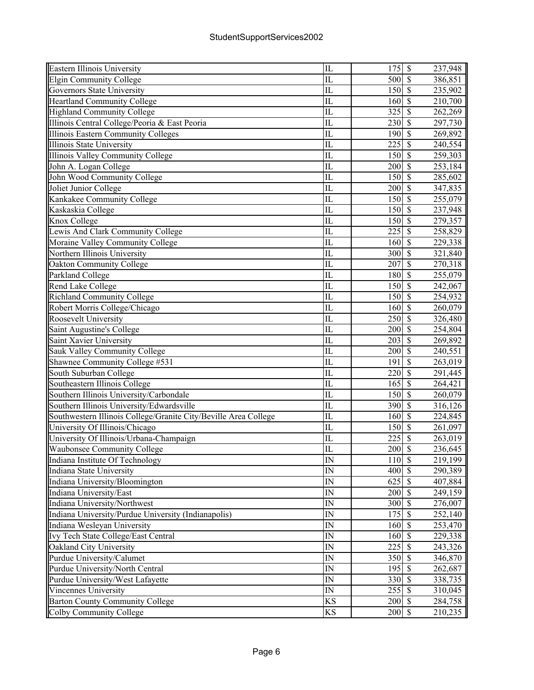| Eastern Illinois University                                     | IL                         | 175              | $\mathbb{S}$             | 237,948 |
|-----------------------------------------------------------------|----------------------------|------------------|--------------------------|---------|
| <b>Elgin Community College</b>                                  | IL                         | 500              | $\mathcal{S}$            | 386,851 |
| Governors State University                                      | IL                         | 150              | $\mathcal{S}$            | 235,902 |
| <b>Heartland Community College</b>                              | IL                         | 160              | $\mathbf S$              | 210,700 |
| <b>Highland Community College</b>                               | IL                         | 325              | $\mathcal{S}$            | 262,269 |
| Illinois Central College/Peoria & East Peoria                   | $\overline{\text{IL}}$     | 230              | $\overline{\mathcal{S}}$ | 297,730 |
| <b>Illinois Eastern Community Colleges</b>                      | IL                         | 190              | $\mathcal{S}$            | 269,892 |
| <b>Illinois State University</b>                                | IL                         | 225              | $\overline{\mathcal{S}}$ | 240,554 |
| <b>Illinois Valley Community College</b>                        | $\overline{\text{IL}}$     | 150              | $\overline{\mathcal{S}}$ | 259,303 |
| John A. Logan College                                           | $\overline{\text{IL}}$     | 200              | $\overline{\mathcal{S}}$ | 253,184 |
| John Wood Community College                                     | IL                         | 150              | $\overline{\mathcal{S}}$ | 285,602 |
| Joliet Junior College                                           | $\overline{\text{IL}}$     | 200              | $\overline{\mathcal{S}}$ | 347,835 |
| Kankakee Community College                                      | IL                         | 150              | $\overline{\mathcal{S}}$ | 255,079 |
| Kaskaskia College                                               | IL                         | 150              | $\mathcal{S}$            | 237,948 |
| Knox College                                                    | IL                         | 150              | $\mathcal{S}$            | 279,357 |
| Lewis And Clark Community College                               | IL                         | 225              | $\mathcal{S}$            | 258,829 |
| Moraine Valley Community College                                | $\overline{\text{IL}}$     | 160              | $\mathcal{S}$            | 229,338 |
| Northern Illinois University                                    | $\overline{\text{IL}}$     | 300              | $\overline{\mathcal{S}}$ | 321,840 |
| Oakton Community College                                        | IL                         | 207              | $\overline{\mathcal{S}}$ | 270,318 |
| Parkland College                                                | IL                         | 180              | $\overline{\mathcal{S}}$ | 255,079 |
| Rend Lake College                                               | $\overline{\text{IL}}$     | 150              | $\overline{\mathcal{S}}$ | 242,067 |
| Richland Community College                                      | IL                         | 150              | $\overline{\mathcal{S}}$ | 254,932 |
| Robert Morris College/Chicago                                   | $\overline{\text{IL}}$     | 160              | $\overline{\mathcal{S}}$ | 260,079 |
| Roosevelt University                                            | IL                         | 250              | $\overline{\mathcal{S}}$ | 326,480 |
| Saint Augustine's College                                       | $\overline{\text{IL}}$     | 200              | $\overline{\mathcal{S}}$ | 254,804 |
| Saint Xavier University                                         | IL                         | 203              | $\overline{\mathcal{S}}$ | 269,892 |
| Sauk Valley Community College                                   | IL                         | 200              | $\mathcal{S}$            | 240,551 |
| Shawnee Community College #531                                  | $\overline{\text{IL}}$     | 191              | $\overline{\mathcal{S}}$ | 263,019 |
| South Suburban College                                          | IL                         | 220              | $\mathbf S$              | 291,445 |
| Southeastern Illinois College                                   | IL                         | 165              | $\mathcal{S}$            | 264,421 |
| Southern Illinois University/Carbondale                         | $\overline{\text{IL}}$     | 150              | $\overline{\mathcal{S}}$ | 260,079 |
| Southern Illinois University/Edwardsville                       | IL                         | 390              | $\mathcal{S}$            | 316,126 |
| Southwestern Illinois College/Granite City/Beville Area College | IL                         | 160              | $\overline{\mathcal{S}}$ | 224,845 |
| University Of Illinois/Chicago                                  | $\overline{\text{IL}}$     | $15\overline{0}$ | $\overline{\mathcal{S}}$ | 261,097 |
| University Of Illinois/Urbana-Champaign                         | $\overline{\text{IL}}$     | 225              | $\overline{\mathcal{S}}$ | 263,019 |
| <b>Waubonsee Community College</b>                              | $\overline{\text{IL}}$     | 200              | $\overline{\mathcal{S}}$ | 236,645 |
| Indiana Institute Of Technology                                 | IN                         | 110S             |                          | 219,199 |
| Indiana State University                                        | IN                         | 400              | $\overline{\mathcal{S}}$ | 290,389 |
| Indiana University/Bloomington                                  | IN                         | 625              | $\mathcal{S}$            | 407,884 |
| Indiana University/East                                         | IN                         | 200              | $\mathcal{S}$            | 249,159 |
| Indiana University/Northwest                                    | IN                         | 300              | $\mathbb{S}$             | 276,007 |
| Indiana University/Purdue University (Indianapolis)             | $\ensuremath{\mathit{IN}}$ | 175              | $\mathcal{S}$            | 252,140 |
| Indiana Wesleyan University                                     | IN                         | 160              | $\overline{\mathcal{S}}$ |         |
| Ivy Tech State College/East Central                             | ${\rm IN}$                 | 160              | $\mathcal{S}$            | 253,470 |
|                                                                 | $\ensuremath{\mathsf{IN}}$ |                  | $\overline{\mathcal{S}}$ | 229,338 |
| Oakland City University                                         | IN                         | 225              | $\overline{\mathcal{S}}$ | 243,326 |
| Purdue University/Calumet                                       | IN                         | 350              | $\overline{\mathcal{S}}$ | 346,870 |
| Purdue University/North Central                                 | IN                         | 195              | $\overline{\mathcal{S}}$ | 262,687 |
| Purdue University/West Lafayette                                | IN                         | 330<br>255       | $\overline{\mathcal{S}}$ | 338,735 |
| Vincennes University                                            |                            |                  | $\overline{\mathcal{S}}$ | 310,045 |
| <b>Barton County Community College</b>                          | KS                         | 200              |                          | 284,758 |
| Colby Community College                                         | KS                         | 200              | $\mathbb{S}$             | 210,235 |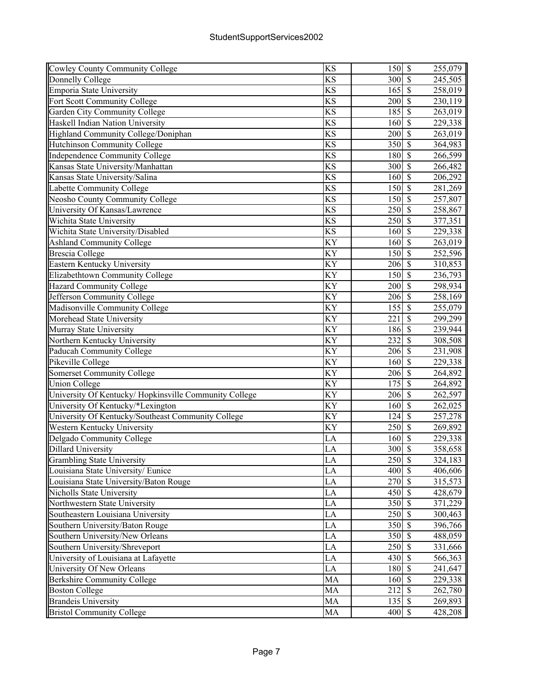| Cowley County Community College                       | <b>KS</b>              | 150S                            |                          | 255,079 |
|-------------------------------------------------------|------------------------|---------------------------------|--------------------------|---------|
| Donnelly College                                      | KS                     | 300                             | $\mathcal{S}$            | 245,505 |
| Emporia State University                              | KS                     | 165                             | $\mathcal{S}$            | 258,019 |
| Fort Scott Community College                          | KS                     | 200                             | $\mathcal{S}$            | 230,119 |
| <b>Garden City Community College</b>                  | $\overline{\text{KS}}$ | 185                             | $\overline{\mathcal{S}}$ | 263,019 |
| Haskell Indian Nation University                      | KS                     | 160                             | $\overline{\mathcal{S}}$ | 229,338 |
| Highland Community College/Doniphan                   | KS                     | 200                             | $\overline{\mathcal{S}}$ | 263,019 |
| <b>Hutchinson Community College</b>                   | <b>KS</b>              | 350                             | $\overline{\mathcal{S}}$ | 364,983 |
| <b>Independence Community College</b>                 | KS                     | 180                             | $\overline{\mathcal{S}}$ | 266,599 |
| Kansas State University/Manhattan                     | $\overline{\text{KS}}$ | 300                             | $\overline{\mathcal{S}}$ | 266,482 |
| Kansas State University/Salina                        | $\overline{KS}$        | 160                             | $\overline{\mathcal{S}}$ | 206,292 |
| Labette Community College                             | KS                     | 150                             | $\sqrt{S}$               | 281,269 |
| <b>Neosho County Community College</b>                | $\overline{\text{KS}}$ | 150                             | $\overline{\mathcal{S}}$ | 257,807 |
| University Of Kansas/Lawrence                         | KS                     | 250                             | $\mathcal{S}$            | 258,867 |
| Wichita State University                              | KS                     | 250                             | $\mathcal{S}$            | 377,351 |
| Wichita State University/Disabled                     | KS                     | 160                             | $\mathcal{S}$            | 229,338 |
| <b>Ashland Community College</b>                      | KY                     | 160                             | $\mathcal{S}$            | 263,019 |
| <b>Brescia</b> College                                | KY                     | 150                             | $\overline{\mathcal{S}}$ | 252,596 |
| Eastern Kentucky University                           | KY                     | 206                             | $\overline{\mathcal{S}}$ | 310,853 |
| Elizabethtown Community College                       | KY                     | 150                             | $\overline{\mathcal{S}}$ | 236,793 |
| <b>Hazard Community College</b>                       | $\overline{KY}$        | 200                             | $\overline{\mathcal{S}}$ | 298,934 |
| Jefferson Community College                           | KY                     | 206                             | $\overline{\mathcal{S}}$ |         |
|                                                       | KY                     | 155                             | $\overline{\mathcal{S}}$ | 258,169 |
| Madisonville Community College                        | $\overline{KY}$        | 221                             | $\overline{\mathcal{S}}$ | 255,079 |
| Morehead State University                             |                        |                                 |                          | 299,299 |
| Murray State University                               | KY                     | 186                             | $\overline{\mathcal{S}}$ | 239,944 |
| Northern Kentucky University                          | KY                     | 232                             | $\overline{\mathcal{S}}$ | 308,508 |
| Paducah Community College                             | KY                     | 206                             | $\sqrt{s}$               | 231,908 |
| Pikeville College                                     | KY                     | 160                             | $\mathcal{S}$            | 229,338 |
| <b>Somerset Community College</b>                     | KY                     | 206                             | $\mathcal{S}$            | 264,892 |
| <b>Union College</b>                                  | KY                     | 175                             | $\overline{\mathcal{S}}$ | 264,892 |
| University Of Kentucky/Hopkinsville Community College | KY                     | $206 \overline{\smash{)}\,}$ \$ |                          | 262,597 |
| University Of Kentucky/*Lexington                     | KY                     | 160                             | $\overline{\mathcal{S}}$ | 262,025 |
| University Of Kentucky/Southeast Community College    | KY                     | 124                             | $\overline{\mathcal{S}}$ | 257,278 |
| Western Kentucky University                           | $\overline{KY}$        | $\overline{250}$                | $\overline{\mathcal{S}}$ | 269,892 |
| Delgado Community College                             | LA                     | 160                             | $\overline{\mathcal{S}}$ | 229,338 |
| <b>Dillard University</b>                             | LA                     | 300S                            |                          | 358,658 |
| <b>Grambling State University</b>                     | LA                     | 250 \$                          |                          | 324,183 |
| Louisiana State University/ Eunice                    | LA                     | $400 \, \text{S}$               |                          | 406,606 |
| Louisiana State University/Baton Rouge                | LA                     | 270 \$                          |                          | 315,573 |
| Nicholls State University                             | LA                     | 450                             | $\sqrt{S}$               | 428,679 |
| Northwestern State University                         | LA                     | 350                             | $\overline{\mathbf{s}}$  | 371,229 |
| Southeastern Louisiana University                     | LA                     | 250S                            |                          | 300,463 |
| Southern University/Baton Rouge                       | LA                     | 350                             | $\sqrt{s}$               | 396,766 |
| Southern University/New Orleans                       | LA                     | 350                             | $\overline{\mathcal{S}}$ | 488,059 |
| Southern University/Shreveport                        | LA                     | 250S                            |                          | 331,666 |
| University of Louisiana at Lafayette                  | LA                     | 430                             | $\sqrt{S}$               | 566,363 |
| University Of New Orleans                             | LA                     | 180                             | $\overline{\mathcal{S}}$ | 241,647 |
| <b>Berkshire Community College</b>                    | MA                     | 160                             | $\sqrt{S}$               | 229,338 |
| <b>Boston College</b>                                 | MA                     | 212                             | $\sqrt{S}$               | 262,780 |
| <b>Brandeis University</b>                            | MA                     | $135 \overline{\smash{)}\,}$    |                          | 269,893 |
| <b>Bristol Community College</b>                      | MA                     | 400 \$                          |                          | 428,208 |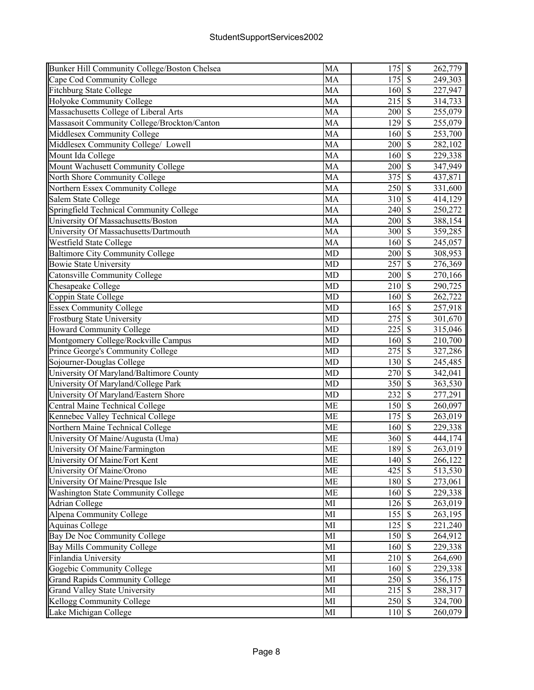| Bunker Hill Community College/Boston Chelsea | MA              | 175    | $\overline{\mathcal{S}}$ | 262,779                             |
|----------------------------------------------|-----------------|--------|--------------------------|-------------------------------------|
| Cape Cod Community College                   | MA              | 175    | $\mathcal{S}$            | 249,303                             |
| <b>Fitchburg State College</b>               | MA              | 160    | $\overline{\mathcal{S}}$ | 227,947                             |
| Holyoke Community College                    | MA              | 215    | $\overline{\mathbf{s}}$  | 314,733                             |
| Massachusetts College of Liberal Arts        | MA              | 200    | $\mathcal{S}$            | 255,079                             |
| Massasoit Community College/Brockton/Canton  | MA              | 129    | $\overline{\mathbf{s}}$  | 255,079                             |
| Middlesex Community College                  | MA              | 160    | $\mathbf S$              | 253,700                             |
| Middlesex Community College/ Lowell          | MA              | 200    | $\overline{\mathbf{s}}$  | 282,102                             |
| Mount Ida College                            | MA              | 160    | $\overline{\mathcal{S}}$ | 229,338                             |
| Mount Wachusett Community College            | MA              | 200    | $\overline{\mathcal{S}}$ | 347,949                             |
| North Shore Community College                | MA              | 375    | $\overline{\mathcal{S}}$ | 437,871                             |
| Northern Essex Community College             | MA              | 250    | $\overline{\mathcal{S}}$ | 331,600                             |
| Salem State College                          | MA              | 310    | $\overline{\mathcal{S}}$ | 414,129                             |
| Springfield Technical Community College      | MA              | 240    | $\mathcal{S}$            | 250,272                             |
| University Of Massachusetts/Boston           | MA              | 200    | $\mathcal{S}$            | 388,154                             |
| University Of Massachusetts/Dartmouth        | MA              | 300    | $\mathcal{S}$            | 359,285                             |
| Westfield State College                      | MA              | 160    | $\mathcal{S}$            | 245,057                             |
| <b>Baltimore City Community College</b>      | MD              | 200    | $\overline{\mathcal{S}}$ | 308,953                             |
| <b>Bowie State University</b>                | MD              | 257    | $\overline{\mathcal{S}}$ | 276,369                             |
| <b>Catonsville Community College</b>         | <b>MD</b>       | 200    | $\overline{\mathcal{S}}$ | 270,166                             |
| Chesapeake College                           | $\overline{MD}$ | 210    | $\overline{\mathcal{S}}$ | 290,725                             |
| Coppin State College                         | MD              | 160    |                          | $\overline{\mathcal{S}}$<br>262,722 |
| <b>Essex Community College</b>               | MD              | 165    |                          | $\overline{\mathcal{S}}$<br>257,918 |
| Frostburg State University                   | MD              | 275    | $\overline{\mathcal{S}}$ | 301,670                             |
| <b>Howard Community College</b>              | MD              | 225    | $\overline{\mathcal{S}}$ | 315,046                             |
| Montgomery College/Rockville Campus          | MD              | 160    | $\overline{\mathcal{S}}$ | 210,700                             |
| Prince George's Community College            | MD              | 275    | $\mathcal{S}$            | 327,286                             |
| Sojourner-Douglas College                    | MD              | 130    | $\overline{\mathcal{S}}$ | 245,485                             |
| University Of Maryland/Baltimore County      | MD              | 270    | $\overline{\mathcal{S}}$ | 342,041                             |
| University Of Maryland/College Park          | MD              | 350    | $\mathcal{S}$            | 363,530                             |
| University Of Maryland/Eastern Shore         | MD              | 232    | $\overline{\mathcal{S}}$ | 277,291                             |
| Central Maine Technical College              | ME              | 150    | $\mathcal{S}$            | 260,097                             |
| Kennebec Valley Technical College            | <b>ME</b>       | 175    | $\overline{\mathcal{S}}$ | 263,019                             |
| Northern Maine Technical College             | <b>ME</b>       | 160    | $\overline{\mathcal{S}}$ | 229,338                             |
| University Of Maine/Augusta (Uma)            | ME              | 360    | $\overline{\mathcal{S}}$ | 444, 174                            |
| University Of Maine/Farmington               | <b>ME</b>       | 189    | $\overline{\mathcal{S}}$ | 263,019                             |
| University Of Maine/Fort Kent                | ME              | 140 \$ |                          | 266,122                             |
| University Of Maine/Orono                    | ME              | 425    | $\overline{\mathcal{S}}$ | 513,530                             |
| University Of Maine/Presque Isle             | ME              | 180    | $\mathcal{S}$            | 273,061                             |
| Washington State Community College           | ME              | 160    | $\mathcal{S}$            | 229,338                             |
| <b>Adrian College</b>                        | MI              | 126    | $\mathcal{S}$            | 263,019                             |
| Alpena Community College                     | MI              | 155    | $\mathbf{\hat{s}}$       | 263,195                             |
| Aquinas College                              | MI              | 125    | $\mathcal{S}$            | 221,240                             |
| Bay De Noc Community College                 | MI              | 150    | $\mathcal{S}$            | 264,912                             |
| <b>Bay Mills Community College</b>           | MI              | 160    | $\overline{\mathcal{S}}$ | 229,338                             |
| Finlandia University                         | MI              | 210    | $\mathcal{S}$            | 264,690                             |
| Gogebic Community College                    | MI              | 160    | $\overline{\mathcal{S}}$ | 229,338                             |
| <b>Grand Rapids Community College</b>        | MI              | 250    | $\overline{\mathcal{S}}$ | 356,175                             |
| Grand Valley State University                | MI              | 215    | $\overline{\mathcal{S}}$ | 288,317                             |
| Kellogg Community College                    | MI              | 250    | $\overline{\mathcal{S}}$ | 324,700                             |
| Lake Michigan College                        | MI              | 110    | $\mathcal{S}$            | 260,079                             |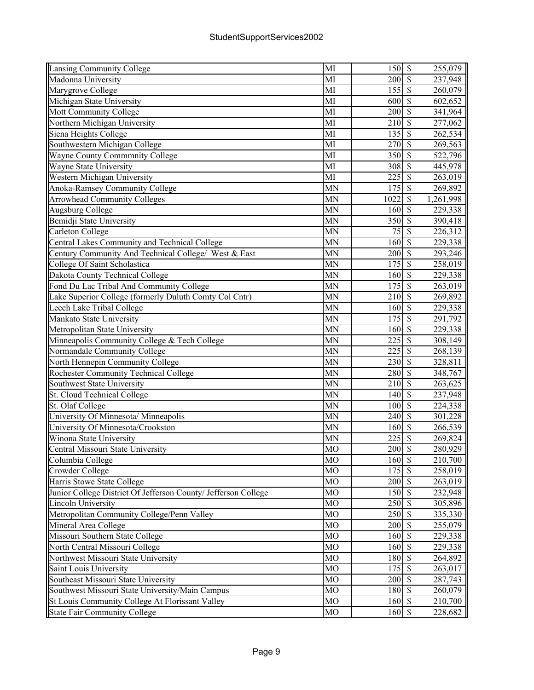| Lansing Community College                                      | MI             | 150S                      |                                     | 255,079   |
|----------------------------------------------------------------|----------------|---------------------------|-------------------------------------|-----------|
| Madonna University                                             | MI             | 200                       | $\mathcal{S}$                       | 237,948   |
| Marygrove College                                              | MI             | 155                       | $\sqrt{S}$                          | 260,079   |
| Michigan State University                                      | MI             | 600                       | $\sqrt{s}$                          | 602,652   |
| Mott Community College                                         | MI             | 200                       | $\overline{\mathcal{S}}$            | 341,964   |
| Northern Michigan University                                   | MI             | 210                       | $\mathcal{S}$                       | 277,062   |
| Siena Heights College                                          | MI             | 135                       | $\mathcal{S}$                       | 262,534   |
| Southwestern Michigan College                                  | MI             | 270                       | $\overline{\mathcal{S}}$            | 269,563   |
| <b>Wayne County Commmnity College</b>                          | MI             | 350                       | $\overline{\mathcal{S}}$            | 522,796   |
| Wayne State University                                         | MI             | 308                       | $\overline{\mathcal{S}}$            | 445,978   |
| Western Michigan University                                    | MI             | 225                       | $\overline{\mathcal{S}}$            | 263,019   |
| <b>Anoka-Ramsey Community College</b>                          | <b>MN</b>      | $\overline{175}$          | $\overline{\mathcal{S}}$            | 269,892   |
| <b>Arrowhead Community Colleges</b>                            | MN             | 1022                      | \$                                  | 1,261,998 |
| Augsburg College                                               | <b>MN</b>      | 160                       | $\overline{\mathcal{S}}$            | 229,338   |
| Bemidji State University                                       | MN             | 350                       | $\overline{\mathcal{S}}$            | 390,418   |
| Carleton College                                               | MN             | 75                        | $\overline{\mathcal{S}}$            | 226,312   |
| Central Lakes Community and Technical College                  | <b>MN</b>      | 160                       | $\mathcal{S}$                       | 229,338   |
| Century Community And Technical College/ West & East           | MN             | 200                       | $\boldsymbol{\mathsf{S}}$           | 293,246   |
| College Of Saint Scholastica                                   | MN             | 175                       | $\mathcal{S}$                       | 258,019   |
| Dakota County Technical College                                | <b>MN</b>      | 160                       | $\mathcal{S}$                       | 229,338   |
| Fond Du Lac Tribal And Community College                       | <b>MN</b>      | $\overline{175}$          | $\overline{\mathcal{S}}$            | 263,019   |
| Lake Superior College (formerly Duluth Comty Col Cntr)         | <b>MN</b>      | 210                       | $\overline{\mathcal{S}}$            | 269,892   |
| Leech Lake Tribal College                                      | MN             | 160                       | $\overline{\mathcal{S}}$            | 229,338   |
| Mankato State University                                       | <b>MN</b>      | 175                       | $\overline{\mathcal{S}}$            | 291,792   |
| Metropolitan State University                                  | MN             | 160                       | $\overline{\mathcal{S}}$            | 229,338   |
| Minneapolis Community College & Tech College                   | MN             | 225                       | $\overline{\mathcal{S}}$            | 308,149   |
| Normandale Community College                                   | <b>MN</b>      | 225                       | $\overline{\mathcal{S}}$            | 268,139   |
| North Hennepin Community College                               | MN             | 230                       | $\overline{\mathcal{S}}$            | 328,811   |
| Rochester Community Technical College                          | MN             | 280                       | $\overline{\mathcal{S}}$            | 348,767   |
| Southwest State University                                     | <b>MN</b>      | 210                       | $\overline{\mathcal{S}}$            | 263,625   |
| St. Cloud Technical College                                    | MN             | 140                       | $\mathcal{S}$                       | 237,948   |
| St. Olaf College                                               | <b>MN</b>      | 100                       | $\mathcal{S}$                       | 224,338   |
| University Of Minnesota/ Minneapolis                           | <b>MN</b>      | 240                       | $\overline{\mathcal{S}}$            | 301,228   |
| University Of Minnesota/Crookston                              | <b>MN</b>      | 160                       | $\overline{\mathcal{S}}$            | 266,539   |
| Winona State University                                        | <b>MN</b>      | 225                       | $\overline{\mathcal{S}}$            | 269,824   |
| Central Missouri State University                              | M <sub>O</sub> | $200 \overline{\text{S}}$ |                                     | 280,929   |
| Columbia College                                               | MO             | 160 \$                    |                                     | 210,700   |
| Crowder College                                                | MO             | 175                       | $\overline{\mathcal{S}}$            | 258,019   |
| Harris Stowe State College                                     | M <sub>O</sub> | 200                       | $\sqrt{S}$                          | 263,019   |
| Junior College District Of Jefferson County/ Jefferson College | MO             | 150                       | $\sqrt{S}$                          | 232,948   |
| <b>Lincoln University</b>                                      | MO             | 250                       | $\overline{\mathcal{S}}$            | 305,896   |
| Metropolitan Community College/Penn Valley                     | MO             | 250                       | $\mathbb{S}$                        |           |
|                                                                | MO             |                           | $\mathbb{S}$                        | 335,330   |
| Mineral Area College<br>Missouri Southern State College        |                | 200                       |                                     | 255,079   |
|                                                                | MO<br>MO       | 160                       | $\mathbf{\$}$<br>$\mathbf{\hat{s}}$ | 229,338   |
| North Central Missouri College                                 |                | 160                       | $\overline{\mathcal{S}}$            | 229,338   |
| Northwest Missouri State University                            | MO             | 180                       |                                     | 264,892   |
| Saint Louis University                                         | MO             | 175                       | $\mathcal{S}$                       | 263,017   |
| Southeast Missouri State University                            | <b>MO</b>      | $200 \text{ s}$           |                                     | 287,743   |
| Southwest Missouri State University/Main Campus                | MO             | 180S                      |                                     | 260,079   |
| St Louis Community College At Florissant Valley                | MO             | 160 \$                    |                                     | 210,700   |
| <b>State Fair Community College</b>                            | M <sub>O</sub> | 160S                      |                                     | 228,682   |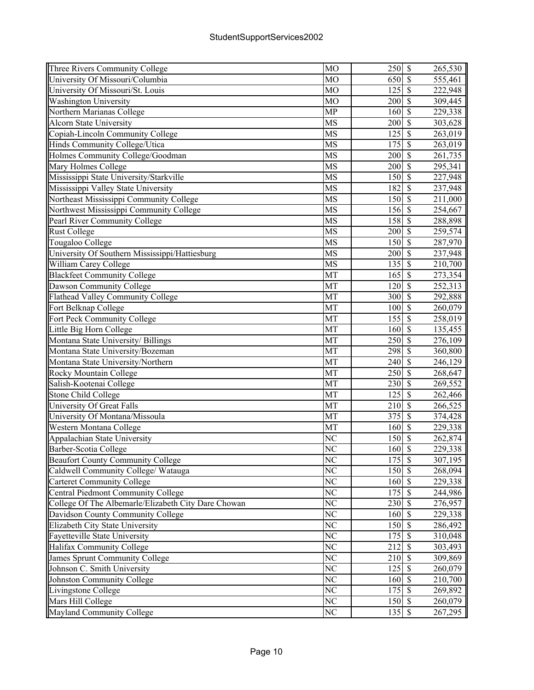| Three Rivers Community College                      | MO                     | 250      | $\mathbb{S}$             | 265,530 |
|-----------------------------------------------------|------------------------|----------|--------------------------|---------|
| University Of Missouri/Columbia                     | MO                     | 650      | $\mathcal{S}$            | 555,461 |
| University Of Missouri/St. Louis                    | MO                     | 125      | $\overline{\mathcal{S}}$ | 222,948 |
| <b>Washington University</b>                        | MO                     | 200      | $\mathcal{S}$            | 309,445 |
| Northern Marianas College                           | <b>MP</b>              | 160      | $\mathcal{S}$            | 229,338 |
| <b>Alcorn State University</b>                      | <b>MS</b>              | 200      | $\overline{\mathcal{S}}$ | 303,628 |
| Copiah-Lincoln Community College                    | <b>MS</b>              | 125      | $\mathcal{S}$            | 263,019 |
| Hinds Community College/Utica                       | <b>MS</b>              | 175      | $\overline{\mathcal{S}}$ | 263,019 |
| Holmes Community College/Goodman                    | <b>MS</b>              | 200      | $\overline{\mathcal{S}}$ | 261,735 |
| Mary Holmes College                                 | <b>MS</b>              | 200      | $\overline{\mathcal{S}}$ | 295,341 |
| Mississippi State University/Starkville             | MS                     | 150      | $\overline{\mathcal{S}}$ | 227,948 |
| Mississippi Valley State University                 | $\overline{\text{MS}}$ | 182      | $\sqrt{S}$               | 237,948 |
| Northeast Mississippi Community College             | MS                     | 150      | $\overline{\mathcal{S}}$ | 211,000 |
| Northwest Mississippi Community College             | <b>MS</b>              | 156      | $\mathcal{S}$            | 254,667 |
| Pearl River Community College                       | <b>MS</b>              | 158      | $\overline{\mathcal{S}}$ | 288,898 |
| <b>Rust College</b>                                 | MS                     | 200      | $\mathcal{S}$            |         |
|                                                     | MS                     | 150      | $\mathcal{S}$            | 259,574 |
| Tougaloo College                                    |                        |          |                          | 287,970 |
| University Of Southern Mississippi/Hattiesburg      | <b>MS</b>              | 200      | $\overline{\mathbf{s}}$  | 237,948 |
| William Carey College                               | MS                     | 135      | $\overline{\mathcal{S}}$ | 210,700 |
| <b>Blackfeet Community College</b>                  | MT                     | 165      | $\overline{\mathcal{S}}$ | 273,354 |
| Dawson Community College                            | MT                     | 120      | $\overline{\mathbf{S}}$  | 252,313 |
| <b>Flathead Valley Community College</b>            | MT                     | 300      | $\overline{\mathcal{S}}$ | 292,888 |
| Fort Belknap College                                | MT                     | 100      | $\sqrt{\frac{2}{\pi}}$   | 260,079 |
| Fort Peck Community College                         | MT                     | 155      | $\overline{\mathcal{S}}$ | 258,019 |
| Little Big Horn College                             | MT                     | 160      | $\overline{\mathcal{S}}$ | 135,455 |
| Montana State University/ Billings                  | MT                     | 250      | $\overline{\mathcal{S}}$ | 276,109 |
| Montana State University/Bozeman                    | MT                     | 298      | $\overline{\mathcal{S}}$ | 360,800 |
| Montana State University/Northern                   | MT                     | 240      | $\overline{\mathcal{S}}$ | 246,129 |
| Rocky Mountain College                              | MT                     | 250      | $\mathbf S$              | 268,647 |
| Salish-Kootenai College                             | MT                     | 230      | $\mathbf S$              | 269,552 |
| <b>Stone Child College</b>                          | MT                     | 125      | $\overline{\mathcal{S}}$ | 262,466 |
| University Of Great Falls                           | MT                     | 210      | $\mathcal{S}$            | 266,525 |
| University Of Montana/Missoula                      | MT                     | 375      | $\overline{\mathcal{S}}$ | 374,428 |
| Western Montana College                             | MT                     | 160      | $\overline{\mathcal{S}}$ | 229,338 |
| Appalachian State University                        | NC                     | 150      | $\overline{\mathcal{S}}$ | 262,874 |
| Barber-Scotia College                               | $\overline{\text{NC}}$ | $160$ \$ |                          | 229,338 |
| <b>Beaufort County Community College</b>            | N <sub>C</sub>         | $175$ \$ |                          | 307,195 |
| Caldwell Community College/ Watauga                 | NC                     | 150      | $\overline{\mathcal{S}}$ | 268,094 |
| <b>Carteret Community College</b>                   | NC                     | 160      | $\mathbf{\$}$            | 229,338 |
| Central Piedmont Community College                  | NC                     | 175      | $\mathcal{S}$            | 244,986 |
| College Of The Albemarle/Elizabeth City Dare Chowan | NC                     | 230      | $\mathbb{S}$             | 276,957 |
| Davidson County Community College                   | NC                     | 160      | $\mathcal{S}$            | 229,338 |
| Elizabeth City State University                     | $\overline{\text{NC}}$ | 150      | $\overline{\mathcal{S}}$ | 286,492 |
| Fayetteville State University                       | NC                     | 175      | $\overline{\mathcal{S}}$ | 310,048 |
| Halifax Community College                           | N <sub>C</sub>         | 212      | $\overline{\mathcal{S}}$ | 303,493 |
| James Sprunt Community College                      | N <sub>C</sub>         | 210      | $\overline{\mathcal{S}}$ | 309,869 |
| Johnson C. Smith University                         | NC                     | 125      | $\overline{\mathcal{S}}$ | 260,079 |
| Johnston Community College                          | $\overline{\text{NC}}$ | 160      | $\overline{\mathcal{S}}$ | 210,700 |
| Livingstone College                                 | $\overline{\text{NC}}$ | 175      | $\overline{\mathcal{S}}$ | 269,892 |
| Mars Hill College                                   | NC                     | 150      | $\overline{\mathcal{S}}$ | 260,079 |
| <b>Mayland Community College</b>                    | NC                     | $135$ \$ |                          | 267,295 |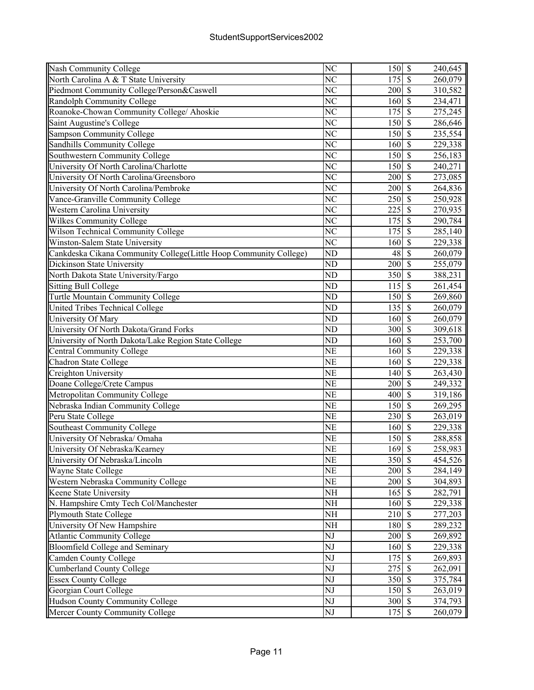| Nash Community College                                            | NC                     | 150 \$                       |                          | 240,645 |
|-------------------------------------------------------------------|------------------------|------------------------------|--------------------------|---------|
| North Carolina A & T State University                             | NC                     | 175                          | $\mathcal{S}$            | 260,079 |
| Piedmont Community College/Person&Caswell                         | NC                     | 200                          | $\mathcal{S}$            | 310,582 |
| Randolph Community College                                        | NC                     | 160                          | $\mathcal{S}$            | 234,471 |
| Roanoke-Chowan Community College/ Ahoskie                         | N <sub>C</sub>         | 175                          | $\overline{\mathcal{S}}$ | 275,245 |
| Saint Augustine's College                                         | NC                     | 150                          | $\sqrt{s}$               | 286,646 |
| Sampson Community College                                         | NC                     | 150                          | $\overline{\mathcal{S}}$ | 235,554 |
| <b>Sandhills Community College</b>                                | $\overline{\text{NC}}$ | 160                          | $\overline{\mathcal{S}}$ | 229,338 |
| Southwestern Community College                                    | NC                     | 150                          | $\overline{\mathcal{S}}$ | 256,183 |
| University Of North Carolina/Charlotte                            | $\overline{\text{NC}}$ | 150                          | $\overline{\mathcal{S}}$ | 240,271 |
| University Of North Carolina/Greensboro                           | $\overline{\text{NC}}$ | 200                          | $\overline{\mathcal{S}}$ | 273,085 |
| University Of North Carolina/Pembroke                             | NC                     | 200                          | $\sqrt{S}$               | 264,836 |
| Vance-Granville Community College                                 | $\overline{\text{NC}}$ | 250                          | $\overline{\mathcal{S}}$ | 250,928 |
| Western Carolina University                                       | NC                     | 225                          | $\mathcal{S}$            | 270,935 |
| Wilkes Community College                                          | NC                     | 175                          | $\mathcal{S}$            | 290,784 |
| Wilson Technical Community College                                | NC                     | 175                          | $\mathcal{S}$            | 285,140 |
| Winston-Salem State University                                    | NC                     | 160                          | $\mathcal{S}$            | 229,338 |
| Cankdeska Cikana Community College(Little Hoop Community College) | ND                     | 48                           | $\overline{\mathcal{S}}$ | 260,079 |
| Dickinson State University                                        | N <sub>D</sub>         | 200                          | $\overline{\mathcal{S}}$ | 255,079 |
| North Dakota State University/Fargo                               | ND                     | 350                          | $\overline{\mathcal{S}}$ | 388,231 |
| <b>Sitting Bull College</b>                                       | $\overline{\text{ND}}$ | 115                          | $\overline{\mathcal{S}}$ | 261,454 |
|                                                                   |                        |                              | $\overline{\mathcal{S}}$ |         |
| <b>Turtle Mountain Community College</b>                          | ND                     | 150                          | $\overline{\mathcal{S}}$ | 269,860 |
| <b>United Tribes Technical College</b>                            | N <sub>D</sub>         | 135                          |                          | 260,079 |
| University Of Mary                                                | $\overline{\text{ND}}$ | 160                          | $\overline{\mathcal{S}}$ | 260,079 |
| University Of North Dakota/Grand Forks                            | ND                     | 300                          | $\mathcal{S}$            | 309,618 |
| University of North Dakota/Lake Region State College              | ND                     | 160                          | $\overline{\mathcal{S}}$ | 253,700 |
| <b>Central Community College</b>                                  | <b>NE</b>              | 160                          | $\mathcal{S}$            | 229,338 |
| Chadron State College                                             | <b>NE</b>              | 160                          | $\mathcal{S}$            | 229,338 |
| Creighton University                                              | <b>NE</b>              | 140                          | $\mathcal{S}$            | 263,430 |
| Doane College/Crete Campus                                        | <b>NE</b>              | 200                          | $\overline{\mathcal{S}}$ | 249,332 |
| Metropolitan Community College                                    | $\overline{\text{NE}}$ | 400                          | $\overline{\mathcal{S}}$ | 319,186 |
| Nebraska Indian Community College                                 | <b>NE</b>              | 150                          | $\overline{\mathcal{S}}$ | 269,295 |
| Peru State College                                                | <b>NE</b>              | 230                          | $\overline{\mathcal{S}}$ | 263,019 |
| <b>Southeast Community College</b>                                | <b>NE</b>              | 160                          | $\overline{\mathcal{S}}$ | 229,338 |
| University Of Nebraska/Omaha                                      | <b>NE</b>              | 150                          | $\overline{\mathcal{S}}$ | 288,858 |
| University Of Nebraska/Kearney                                    | NE                     | 169S                         |                          | 258,983 |
| University Of Nebraska/Lincoln                                    | <b>NE</b>              | 350 \$                       |                          | 454,526 |
| Wayne State College                                               | NE                     | 200S                         |                          | 284,149 |
| Western Nebraska Community College                                | NE                     | 200S                         |                          | 304,893 |
| Keene State University                                            | NH                     | 165                          | $\mathbf{\hat{S}}$       | 282,791 |
| N. Hampshire Cmty Tech Col/Manchester                             | NH                     | 160                          | $\mathcal{S}$            | 229,338 |
| Plymouth State College                                            | NH                     | 210S                         |                          | 277,203 |
| University Of New Hampshire                                       | NH                     | 180 \$                       |                          | 289,232 |
| <b>Atlantic Community College</b>                                 | NJ                     | 200                          | $\mathcal{S}$            | 269,892 |
| Bloomfield College and Seminary                                   | NJ                     | 160S                         |                          | 229,338 |
| Camden County College                                             | NJ                     | 175                          | $\overline{\mathcal{S}}$ | 269,893 |
| <b>Cumberland County College</b>                                  | NJ                     | 275                          | $\overline{\mathcal{S}}$ | 262,091 |
| <b>Essex County College</b>                                       | NJ                     | $350\overline{\smash{)}\,5}$ |                          | 375,784 |
| Georgian Court College                                            | $\overline{\text{NJ}}$ | 150S                         |                          | 263,019 |
| <b>Hudson County Community College</b>                            | NJ                     | 300 \$                       |                          | 374,793 |
| Mercer County Community College                                   | NJ                     | 175 \$                       |                          | 260,079 |
|                                                                   |                        |                              |                          |         |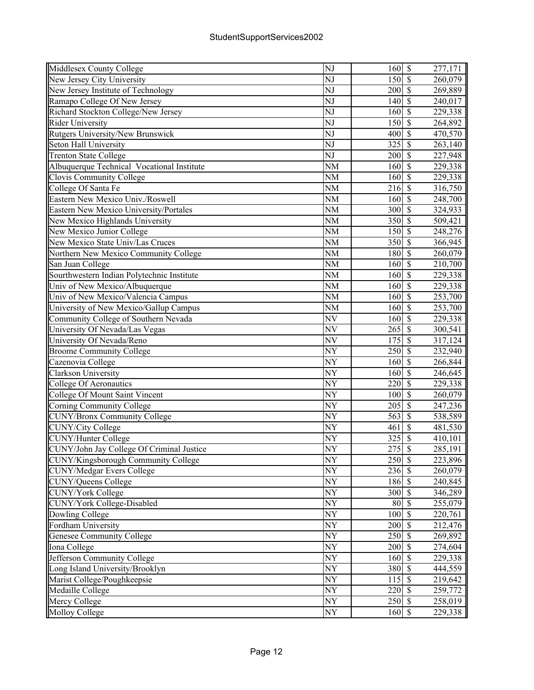| Middlesex County College                   | NJ                     | 160                               | $\mathbb{S}$             | 277,171              |
|--------------------------------------------|------------------------|-----------------------------------|--------------------------|----------------------|
| New Jersey City University                 | NJ                     | 150                               | $\mathcal{S}$            | 260,079              |
| New Jersey Institute of Technology         | NJ                     | 200                               | $\mathcal{S}$            | 269,889              |
| Ramapo College Of New Jersey               | NJ                     | 140                               | $\mathcal{S}$            | 240,017              |
| Richard Stockton College/New Jersey        | NJ                     | 160                               | $\mathcal{S}$            | 229,338              |
| Rider University                           | NJ                     | 150                               | $\overline{\mathcal{S}}$ | 264,892              |
| Rutgers University/New Brunswick           | NJ                     | 400                               | $\mathcal{S}$            | 470,570              |
| Seton Hall University                      | NJ                     | 325                               | $\overline{\mathcal{S}}$ | 263,140              |
| <b>Trenton State College</b>               | $\overline{\text{NJ}}$ | 200                               | $\overline{\mathcal{S}}$ | 227,948              |
| Albuquerque Technical Vocational Institute | <b>NM</b>              | 160                               | $\overline{\mathcal{S}}$ | 229,338              |
| Clovis Community College                   | <b>NM</b>              | 160                               | $\overline{\mathcal{S}}$ | 229,338              |
| College Of Santa Fe                        | NM                     | 216                               | $\overline{\mathcal{S}}$ | 316,750              |
| Eastern New Mexico Univ./Roswell           | NM                     | 160                               | $\overline{\mathcal{S}}$ | 248,700              |
| Eastern New Mexico University/Portales     | <b>NM</b>              | 300                               | $\mathcal{S}$            | 324,933              |
| New Mexico Highlands University            | <b>NM</b>              | 350                               | $\mathcal{S}$            | 509,421              |
| New Mexico Junior College                  | <b>NM</b>              | 150                               | $\mathcal{S}$            | 248,276              |
| New Mexico State Univ/Las Cruces           | NM                     | 350                               | $\mathcal{S}$            | 366,945              |
| Northern New Mexico Community College      | <b>NM</b>              | 180                               | $\overline{\mathcal{S}}$ | 260,079              |
| San Juan College                           | NM                     | 160                               | $\overline{\mathcal{S}}$ | 210,700              |
| Sourthwestern Indian Polytechnic Institute | <b>NM</b>              | 160                               | $\overline{\mathcal{S}}$ | 229,338              |
| Univ of New Mexico/Albuquerque             | NM                     | 160                               | $\overline{\mathcal{S}}$ | 229,338              |
| Univ of New Mexico/Valencia Campus         | <b>NM</b>              | 160                               | $\overline{\mathcal{S}}$ | $\overline{253,700}$ |
| University of New Mexico/Gallup Campus     | <b>NM</b>              | 160                               | $\overline{\mathcal{S}}$ | 253,700              |
|                                            | NV                     | 160                               | $\overline{\mathcal{S}}$ |                      |
| Community College of Southern Nevada       |                        |                                   | $\overline{\mathcal{S}}$ | 229,338              |
| University Of Nevada/Las Vegas             | NV                     | 265                               | $\overline{\mathcal{S}}$ | 300,541              |
| University Of Nevada/Reno                  | NV                     | 175                               |                          | 317,124              |
| <b>Broome Community College</b>            | NY                     | 250                               | $\mathcal{S}$            | 232,940              |
| Cazenovia College                          | NY                     | 160                               | $\mathcal{S}$            | 266,844              |
| Clarkson University                        | NY                     | 160                               | $\mathcal{S}$            | 246,645              |
| College Of Aeronautics                     | NY                     | 220                               | $\mathcal{S}$            | 229,338              |
| College Of Mount Saint Vincent             | NY                     | 100                               | $\overline{\mathcal{S}}$ | 260,079              |
| Corning Community College                  | NY                     | 205                               | $\mathcal{S}$            | 247,236              |
| <b>CUNY/Bronx Community College</b>        | NY                     | 563                               | $\overline{\mathcal{S}}$ | 538,589              |
| <b>CUNY/City College</b>                   | $\overline{NY}$        | 461                               | $\overline{\mathcal{S}}$ | 481,530              |
| <b>CUNY/Hunter College</b>                 | NY                     | 325                               | $\overline{\mathcal{S}}$ | 410,101              |
| CUNY/John Jay College Of Criminal Justice  | NY                     | $275 \overline{\smash{\big)}\ 5}$ |                          | 285,191              |
| CUNY/Kingsborough Community College        | NY                     | 250 \$                            |                          | 223,896              |
| <b>CUNY/Medgar Evers College</b>           | NY                     | 236                               | $\sqrt{S}$               | 260,079              |
| CUNY/Queens College                        | NY                     | 186 \$                            |                          | 240,845              |
| <b>CUNY/York College</b>                   | NY                     | 300                               | $\mathbb{S}$             | 346,289              |
| <b>CUNY/York College-Disabled</b>          | NY                     | 80                                | $\mathbb{S}$             | 255,079              |
| Dowling College                            | NY                     | 100                               | $\mathcal{S}$            | 220,761              |
| Fordham University                         | NY                     | 200                               | $\overline{\mathcal{S}}$ | 212,476              |
| <b>Genesee Community College</b>           | NY                     | 250                               | $\overline{\mathcal{S}}$ | 269,892              |
| Iona College                               | NY                     | 200                               | $\overline{\mathcal{S}}$ | 274,604              |
| Jefferson Community College                | NY                     | 160                               | $\overline{\mathcal{S}}$ | 229,338              |
| Long Island University/Brooklyn            | $\overline{\text{NY}}$ | 380                               | $\overline{\mathcal{S}}$ | 444,559              |
| Marist College/Poughkeepsie                | NY                     | 115                               | $\overline{\mathcal{S}}$ | 219,642              |
| Medaille College                           | NY                     | 220                               | $\sqrt{S}$               | 259,772              |
| Mercy College                              | NY                     | 250                               | $\sqrt{S}$               | 258,019              |
| Molloy College                             | ${\rm NY}$             | 160S                              |                          | 229,338              |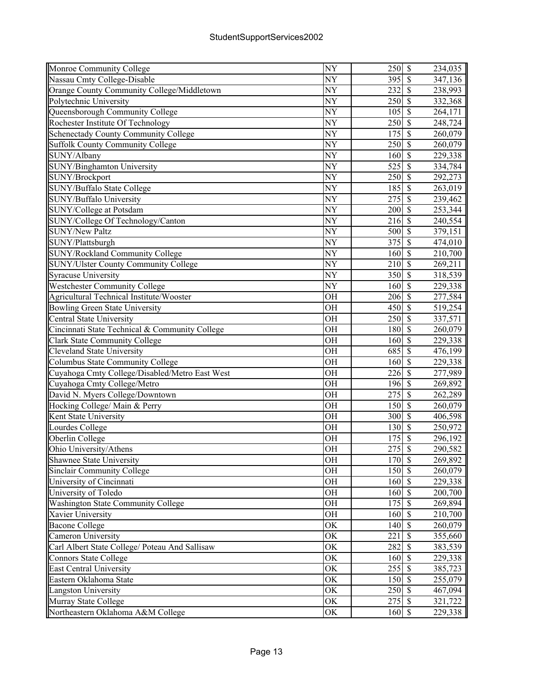| Monroe Community College                                       | NY                     | 250                      | $\mathbb{S}$             | 234,035 |
|----------------------------------------------------------------|------------------------|--------------------------|--------------------------|---------|
| Nassau Cmty College-Disable                                    | NY                     | 395                      | $\mathcal{S}$            | 347,136 |
| Orange County Community College/Middletown                     | NY                     | 232                      | $\overline{\mathcal{S}}$ | 238,993 |
| Polytechnic University                                         | NY                     | 250                      | $\mathcal{S}$            | 332,368 |
| Queensborough Community College                                | NY                     | 105                      | $\mathcal{S}$            | 264,171 |
| Rochester Institute Of Technology                              | NY                     | 250                      | $\overline{\mathcal{S}}$ | 248,724 |
| Schenectady County Community College                           | NY                     | 175                      | $\mathcal{S}$            | 260,079 |
| <b>Suffolk County Community College</b>                        | NY                     | 250                      | $\overline{\mathcal{S}}$ | 260,079 |
| SUNY/Albany                                                    | $\overline{NY}$        | 160                      | $\overline{\mathcal{S}}$ | 229,338 |
| SUNY/Binghamton University                                     | NY                     | 525                      | $\overline{\mathcal{S}}$ | 334,784 |
| SUNY/Brockport                                                 | NY                     | 250                      | $\overline{\mathcal{S}}$ | 292,273 |
| SUNY/Buffalo State College                                     | $\overline{NY}$        | 185                      | $\overline{\mathcal{S}}$ | 263,019 |
| SUNY/Buffalo University                                        | NY                     | 275                      | $\overline{\mathcal{S}}$ | 239,462 |
| SUNY/College at Potsdam                                        | NY                     | 200                      | $\mathcal{S}$            | 253,344 |
| SUNY/College Of Technology/Canton                              | NY                     | 216                      | $\mathcal{S}$            | 240,554 |
| <b>SUNY/New Paltz</b>                                          | NY                     | 500                      | $\mathcal{S}$            | 379,151 |
| SUNY/Plattsburgh                                               | NY                     | 375                      | $\mathcal{S}$            | 474,010 |
| <b>SUNY/Rockland Community College</b>                         | NY                     | 160                      | $\overline{\mathcal{S}}$ | 210,700 |
| <b>SUNY/Ulster County Community College</b>                    | NY                     | 210                      | $\overline{\mathcal{S}}$ | 269,211 |
| <b>Syracuse University</b>                                     | NY                     | 350                      | $\overline{\mathcal{S}}$ | 318,539 |
| Westchester Community College                                  | NY                     | 160                      | $\overline{\mathcal{S}}$ | 229,338 |
| Agricultural Technical Institute/Wooster                       | <b>OH</b>              | 206                      | $\overline{\mathcal{S}}$ | 277,584 |
| Bowling Green State University                                 | <b>OH</b>              | 450                      | $\overline{\mathcal{S}}$ | 519,254 |
| Central State University                                       | <b>OH</b>              | 250                      | $\overline{\mathcal{S}}$ | 337,571 |
| Cincinnati State Technical & Community College                 | <b>OH</b>              | 180                      | $\overline{\mathcal{S}}$ |         |
|                                                                | <b>OH</b>              | 160                      | $\overline{\mathcal{S}}$ | 260,079 |
| <b>Clark State Community College</b>                           | <b>OH</b>              | 685                      | $\mathcal{S}$            | 229,338 |
| Cleveland State University<br>Columbus State Community College | <b>OH</b>              | 160                      | $\overline{\mathcal{S}}$ | 476,199 |
|                                                                |                        |                          | $\mathbf S$              | 229,338 |
| Cuyahoga Cmty College/Disabled/Metro East West                 | <b>OH</b><br><b>OH</b> | 226                      | $\mathcal{S}$            | 277,989 |
| Cuyahoga Cmty College/Metro                                    |                        | 196                      | $\overline{\mathcal{S}}$ | 269,892 |
| David N. Myers College/Downtown                                | OH                     | 275                      | $\mathcal{S}$            | 262,289 |
| Hocking College/ Main & Perry                                  | <b>OH</b>              | 150                      | $\overline{\mathcal{S}}$ | 260,079 |
| Kent State University                                          | <b>OH</b><br><b>OH</b> | 300                      | $\overline{\mathcal{S}}$ | 406,598 |
| Lourdes College                                                |                        | 130                      | $\overline{\mathcal{S}}$ | 250,972 |
| Oberlin College                                                | <b>OH</b>              | 175                      |                          | 296,192 |
| Ohio University/Athens                                         | <b>OH</b>              | 275S                     |                          | 290,582 |
| Shawnee State University                                       | <b>OH</b>              | 170 \$                   | $\overline{\mathcal{S}}$ | 269,892 |
| <b>Sinclair Community College</b>                              | OH                     | 150                      |                          | 260,079 |
| University of Cincinnati                                       | <b>OH</b>              | 160                      | $\mathcal{S}$            | 229,338 |
| University of Toledo                                           | <b>OH</b>              | 160                      | $\mathbf{\hat{s}}$       | 200,700 |
| <b>Washington State Community College</b>                      | <b>OH</b>              | 175                      | $\mathcal{S}$            | 269,894 |
| Xavier University                                              | <b>OH</b>              | 160                      | $\mathcal{S}$            | 210,700 |
| <b>Bacone College</b>                                          | <b>OK</b>              | 140                      | $\overline{\mathcal{S}}$ | 260,079 |
| Cameron University                                             | OK                     | 221                      | $\mathcal{S}$            | 355,660 |
| Carl Albert State College/ Poteau And Sallisaw                 | OK                     | 282                      | $\overline{\mathcal{S}}$ | 383,539 |
| Connors State College                                          | OK                     | 160                      | $\overline{\mathcal{S}}$ | 229,338 |
| <b>East Central University</b>                                 | OK                     | 255                      | $\overline{\mathcal{S}}$ | 385,723 |
| Eastern Oklahoma State                                         | OK                     | 150                      | $\overline{\mathcal{S}}$ | 255,079 |
| Langston University                                            | OK                     | 250                      | $\overline{\mathcal{S}}$ | 467,094 |
| Murray State College                                           | OK                     | 275                      | $\sqrt{S}$               | 321,722 |
| Northeastern Oklahoma A&M College                              | OK                     | $160\overline{\text{S}}$ |                          | 229,338 |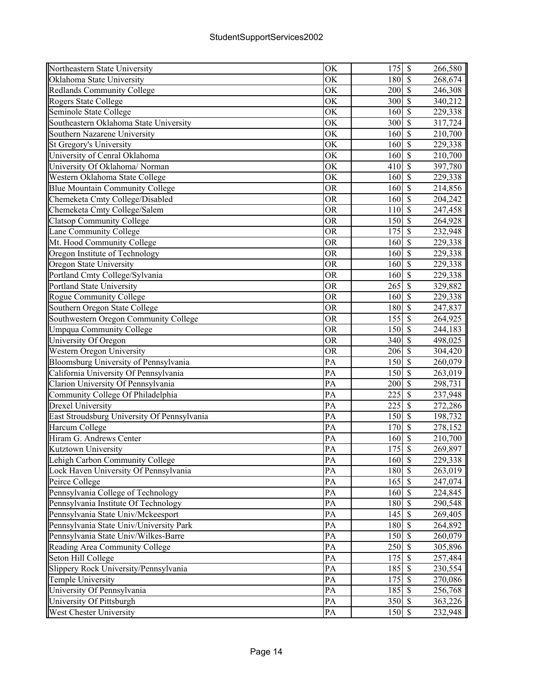| Northeastern State University               | OK              | 175              | $\mathbb{S}$             | 266,580 |
|---------------------------------------------|-----------------|------------------|--------------------------|---------|
| Oklahoma State University                   | OK              | 180              | $\mathcal{S}$            | 268,674 |
| Redlands Community College                  | OK              | 200              | $\mathcal{S}$            | 246,308 |
| Rogers State College                        | OK              | 300              | $\mathcal{S}$            | 340,212 |
| Seminole State College                      | OK              | 160              | $\overline{\mathcal{S}}$ | 229,338 |
| Southeastern Oklahoma State University      | OK              | 300              | $\overline{\mathcal{S}}$ | 317,724 |
| Southern Nazarene University                | OK              | 160              | $\overline{\mathcal{S}}$ | 210,700 |
| St Gregory's University                     | OK              | 160              | $\overline{\mathbf{S}}$  | 229,338 |
| University of Cenral Oklahoma               | OK              | 160              | $\overline{\mathcal{S}}$ | 210,700 |
| University Of Oklahoma/ Norman              | OK              | 410              | $\overline{\mathcal{S}}$ | 397,780 |
| Western Oklahoma State College              | OK              | 160              | $\overline{\mathcal{S}}$ | 229,338 |
| <b>Blue Mountain Community College</b>      | <b>OR</b>       | 160              | $\overline{\mathcal{S}}$ | 214,856 |
| Chemeketa Cmty College/Disabled             | <b>OR</b>       | 160              | $\overline{\mathcal{S}}$ | 204,242 |
| Chemeketa Cmty College/Salem                | <b>OR</b>       | 110              | $\mathcal{S}$            | 247,458 |
| <b>Clatsop Community College</b>            | <b>OR</b>       | 150              | $\mathcal{S}$            | 264,928 |
| Lane Community College                      | <b>OR</b>       | 175              | $\mathbf S$              | 232,948 |
| Mt. Hood Community College                  | <b>OR</b>       | 160              | $\mathcal{S}$            | 229,338 |
| Oregon Institute of Technology              | <b>OR</b>       | 160              | $\overline{\mathcal{S}}$ | 229,338 |
| Oregon State University                     | <b>OR</b>       | 160              | $\overline{\mathcal{S}}$ | 229,338 |
| Portland Cmty College/Sylvania              | <b>OR</b>       | 160              | $\overline{\mathcal{S}}$ | 229,338 |
| Portland State University                   | <b>OR</b>       | $\overline{265}$ | $\overline{\mathcal{S}}$ | 329,882 |
| Rogue Community College                     | <b>OR</b>       | 160              | $\overline{\mathcal{S}}$ | 229,338 |
| Southern Oregon State College               | <b>OR</b>       | 180              | $\overline{\mathcal{S}}$ | 247,837 |
| Southwestern Oregon Community College       | <b>OR</b>       | 155              | $\overline{\mathcal{S}}$ | 264,925 |
| <b>Umpqua Community College</b>             | <b>OR</b>       | 150              | $\overline{\mathcal{S}}$ | 244,183 |
| University Of Oregon                        | <b>OR</b>       | 340              | $\overline{\mathcal{S}}$ | 498,025 |
| <b>Western Oregon University</b>            | <b>OR</b>       | 206              | $\mathcal{S}$            | 304,420 |
| Bloomsburg University of Pennsylvania       | PA              | 150              | $\mathcal{S}$            | 260,079 |
| California University Of Pennsylvania       | PA              | 150              | $\mathcal{S}$            | 263,019 |
| Clarion University Of Pennsylvania          | PA              | 200              | $\overline{\mathcal{S}}$ | 298,731 |
| Community College Of Philadelphia           | PA              | 225              | $\overline{\mathcal{S}}$ | 237,948 |
| <b>Drexel University</b>                    | PA              | 225              | $\overline{\mathcal{S}}$ | 272,286 |
| East Stroudsburg University Of Pennsylvania | PA              | 150              | $\overline{\mathcal{S}}$ | 198,732 |
| Harcum College                              | PA              | 170              | $\overline{\mathcal{S}}$ | 278,152 |
| Hiram G. Andrews Center                     | PA              | 160              | $\overline{\mathcal{S}}$ | 210,700 |
| Kutztown University                         | $\overline{PA}$ | $175$ \$         |                          | 269,897 |
| Lehigh Carbon Community College             | PA              | 160              | $\mathcal{S}$            | 229,338 |
| Lock Haven University Of Pennsylvania       | PA              | 180              | $\overline{\mathcal{S}}$ | 263,019 |
| Peirce College                              | PA              | 165              | $\mathcal{S}$            | 247,074 |
| Pennsylvania College of Technology          | PA              | 160              | $\mathcal{S}$            | 224,845 |
| Pennsylvania Institute Of Technology        | PA              | 180              | $\mathcal{S}$            | 290,548 |
| Pennsylvania State Univ/Mckeesport          | PA              | 145              | $\mathcal{S}$            | 269,405 |
| Pennsylvania State Univ/University Park     | PA              | 180              | $\overline{\mathcal{S}}$ | 264,892 |
| Pennsylvania State Univ/Wilkes-Barre        | PA              | 150              | $\overline{\mathcal{S}}$ | 260,079 |
| Reading Area Community College              | PA              | 250              | $\mathcal{S}$            | 305,896 |
| Seton Hill College                          | PA              | 175              | $\overline{\mathcal{S}}$ | 257,484 |
| Slippery Rock University/Pennsylvania       | PA              | 185              | $\overline{\mathcal{S}}$ | 230,554 |
| Temple University                           | PA              | 175              | $\overline{\mathcal{S}}$ | 270,086 |
| University Of Pennsylvania                  | PA              | 185              | $\overline{\mathcal{S}}$ | 256,768 |
| University Of Pittsburgh                    | PA              | 350              | $\mathcal{S}$            | 363,226 |
| West Chester University                     | PA              | 150              | $\mathcal{S}$            | 232,948 |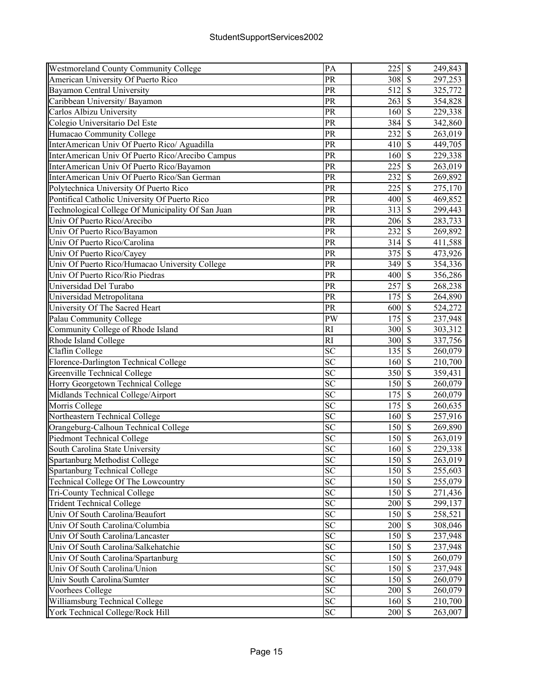| <b>Westmoreland County Community College</b>      | PA              | $225$ \$                    |                          | 249,843 |
|---------------------------------------------------|-----------------|-----------------------------|--------------------------|---------|
| American University Of Puerto Rico                | PR              | 308                         | $\sqrt{s}$               | 297,253 |
| Bayamon Central University                        | PR              | 512                         | $\mathcal{S}$            | 325,772 |
| Caribbean University/ Bayamon                     | PR              | 263                         | $\mathcal{S}$            | 354,828 |
| Carlos Albizu University                          | PR              | 160                         | $\mathcal{S}$            | 229,338 |
| Colegio Universitario Del Este                    | PR              | 384                         | $\mathcal{S}$            | 342,860 |
| Humacao Community College                         | PR              | 232                         | $\overline{\mathcal{S}}$ | 263,019 |
| InterAmerican Univ Of Puerto Rico/ Aguadilla      | PR              | 410                         | $\overline{\mathcal{S}}$ | 449,705 |
| InterAmerican Univ Of Puerto Rico/Arecibo Campus  | PR              | 160                         | $\overline{\mathcal{S}}$ | 229,338 |
| InterAmerican Univ Of Puerto Rico/Bayamon         | PR              | 225                         | $\overline{\mathcal{S}}$ | 263,019 |
| InterAmerican Univ Of Puerto Rico/San German      | PR              | 232                         | $\overline{\mathcal{S}}$ | 269,892 |
| Polytechnica University Of Puerto Rico            | PR              | 225                         | $\overline{\mathcal{S}}$ | 275,170 |
| Pontifical Catholic University Of Puerto Rico     | $\overline{PR}$ | 400                         | $\sqrt{\frac{2}{3}}$     | 469,852 |
| Technological College Of Municipality Of San Juan | PR              | 313                         | $\mathcal{S}$            | 299,443 |
| Univ Of Puerto Rico/Arecibo                       | PR              | $206 \,$ \$                 |                          | 283,733 |
| Univ Of Puerto Rico/Bayamon                       | PR              | 232                         | $\mathcal{S}$            | 269,892 |
| Univ Of Puerto Rico/Carolina                      | PR              | 314                         | $\mathcal{S}$            | 411,588 |
| Univ Of Puerto Rico/Cayey                         | PR              | 375                         | $\mathcal{S}$            | 473,926 |
| Univ Of Puerto Rico/Humacao University College    | PR              | 349                         | $\sqrt{S}$               | 354,336 |
| Univ Of Puerto Rico/Rio Piedras                   | PR              | 400                         | $\overline{\mathcal{S}}$ | 356,286 |
| Universidad Del Turabo                            | PR              | $\overline{257}$            | $\overline{\mathcal{S}}$ | 268,238 |
| Universidad Metropolitana                         | PR              | $\overline{175}$            | $\overline{\mathcal{S}}$ | 264,890 |
| University Of The Sacred Heart                    | PR              | 600                         | $\overline{\mathcal{S}}$ | 524,272 |
| Palau Community College                           | PW              | 175                         | $\overline{\mathcal{S}}$ | 237,948 |
| Community College of Rhode Island                 | <b>RI</b>       | 300                         | $\overline{\mathcal{S}}$ | 303,312 |
| Rhode Island College                              | RI              | 300                         | $\overline{\mathcal{S}}$ | 337,756 |
| Claflin College                                   | SC              | 135                         | $\overline{\mathcal{S}}$ | 260,079 |
| Florence-Darlington Technical College             | <b>SC</b>       | 160                         | $\mathcal{S}$            | 210,700 |
| Greenville Technical College                      | <b>SC</b>       | 350                         | $\mathcal{S}$            | 359,431 |
| Horry Georgetown Technical College                | <b>SC</b>       | 150                         | $\mathcal{S}$            | 260,079 |
| Midlands Technical College/Airport                | <b>SC</b>       | 175                         | $\mathcal{S}$            | 260,079 |
| Morris College                                    | <b>SC</b>       | 175                         | $\sqrt{s}$               | 260,635 |
| Northeastern Technical College                    | SC              | 160                         | $\overline{\mathcal{S}}$ | 257,916 |
| Orangeburg-Calhoun Technical College              | <b>SC</b>       | 150                         | $\sqrt{s}$               | 269,890 |
| <b>Piedmont Technical College</b>                 | SC              | 150                         | $\overline{\mathcal{S}}$ | 263,019 |
| South Carolina State University                   | $\overline{SC}$ | 160S                        |                          | 229,338 |
| Spartanburg Methodist College                     | SC              | 150 \$                      |                          | 263,019 |
| Spartanburg Technical College                     | $\overline{SC}$ | 150                         | $\sqrt{S}$               | 255,603 |
| Technical College Of The Lowcountry               | <b>SC</b>       | 150 \$                      |                          | 255,079 |
| <b>Tri-County Technical College</b>               | SC              | 150S                        |                          | 271,436 |
| <b>Trident Technical College</b>                  | <b>SC</b>       | 200                         | $\mathbb{S}$             | 299,137 |
| Univ Of South Carolina/Beaufort                   | SC              | 150                         | $\mathbf{\hat{S}}$       | 258,521 |
| Univ Of South Carolina/Columbia                   | <b>SC</b>       | 200                         | $\mathcal{S}$            | 308,046 |
| Univ Of South Carolina/Lancaster                  | <b>SC</b>       | 150                         | $\sqrt{s}$               | 237,948 |
| Univ Of South Carolina/Salkehatchie               | SC              | 150S                        |                          | 237,948 |
| Univ Of South Carolina/Spartanburg                | <b>SC</b>       | $150$ $\overline{\text{S}}$ |                          | 260,079 |
| Univ Of South Carolina/Union                      | <b>SC</b>       | 150                         | $\sqrt{s}$               | 237,948 |
| Univ South Carolina/Sumter                        | <b>SC</b>       | 150                         | $\overline{\mathcal{S}}$ | 260,079 |
| Voorhees College                                  | <b>SC</b>       | 200                         | $\overline{\mathcal{S}}$ | 260,079 |
| Williamsburg Technical College                    | <b>SC</b>       | 160S                        |                          | 210,700 |
| York Technical College/Rock Hill                  | <b>SC</b>       | 200 \$                      |                          | 263,007 |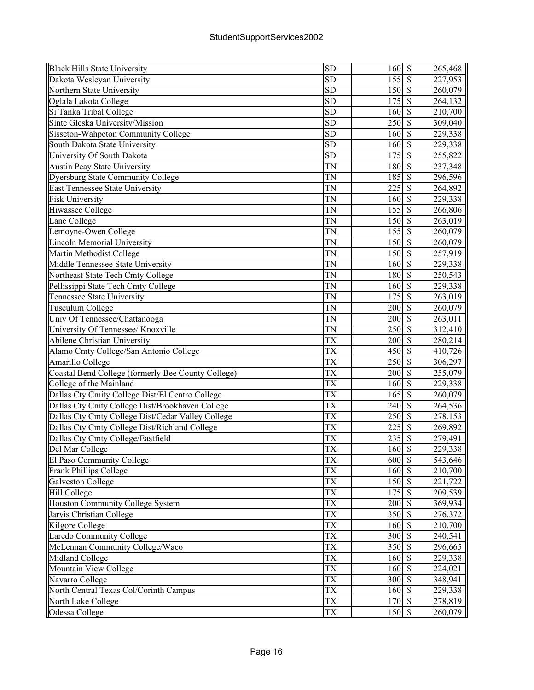| <b>Black Hills State University</b>                | <b>SD</b>       | 160                      | $\boldsymbol{\mathsf{S}}$ | 265,468              |
|----------------------------------------------------|-----------------|--------------------------|---------------------------|----------------------|
| Dakota Wesleyan University                         | <b>SD</b>       | 155                      | $\mathcal{S}$             | 227,953              |
| Northern State University                          | <b>SD</b>       | 150                      | $\mathcal{S}$             | 260,079              |
| Oglala Lakota College                              | <b>SD</b>       | 175                      | $\mathbf S$               | 264,132              |
| Si Tanka Tribal College                            | <b>SD</b>       | 160                      | $\mathcal{S}$             | 210,700              |
| Sinte Gleska University/Mission                    | <b>SD</b>       | 250                      | $\overline{\mathcal{S}}$  | 309,040              |
| Sisseton-Wahpeton Community College                | <b>SD</b>       | 160                      | $\mathcal{S}$             | 229,338              |
| South Dakota State University                      | <b>SD</b>       | 160                      | $\overline{\mathcal{S}}$  | 229,338              |
| University Of South Dakota                         | <b>SD</b>       | 175                      | $\overline{\mathbf{S}}$   | 255,822              |
| Austin Peay State University                       | <b>TN</b>       | 180                      | $\overline{\mathcal{S}}$  | 237,348              |
| Dyersburg State Community College                  | <b>TN</b>       | 185                      | $\overline{\mathcal{S}}$  | 296,596              |
| East Tennessee State University                    | TN              | 225                      | $\overline{\mathcal{S}}$  | 264,892              |
| <b>Fisk University</b>                             | TN              | 160                      | $\overline{\mathcal{S}}$  | 229,338              |
| Hiwassee College                                   | <b>TN</b>       | 155                      | $\mathcal{S}$             | 266,806              |
| Lane College                                       | TN              | 150                      | $\mathcal{S}$             | 263,019              |
| Lemoyne-Owen College                               | TN              | 155                      | $\mathcal{S}$             | 260,079              |
| <b>Lincoln Memorial University</b>                 | <b>TN</b>       | 150                      | $\mathcal{S}$             | 260,079              |
| Martin Methodist College                           | <b>TN</b>       | 150                      | $\overline{\mathcal{S}}$  | $\overline{257,}919$ |
| Middle Tennessee State University                  | <b>TN</b>       | 160                      | $\overline{\mathcal{S}}$  | 229,338              |
| Northeast State Tech Cmty College                  | <b>TN</b>       | 180                      | $\overline{\mathcal{S}}$  | 250,543              |
| Pellissippi State Tech Cmty College                | TN              | 160                      | $\overline{\mathcal{S}}$  | 229,338              |
| Tennessee State University                         | <b>TN</b>       | 175                      | $\overline{\mathcal{S}}$  | 263,019              |
| Tusculum College                                   | <b>TN</b>       | 200                      | $\overline{\mathcal{S}}$  |                      |
|                                                    |                 | 200                      | $\overline{\mathcal{S}}$  | 260,079              |
| Univ Of Tennessee/Chattanooga                      | TN              |                          | $\overline{\mathcal{S}}$  | 263,011              |
| University Of Tennessee/ Knoxville                 | TN              | 250                      | $\overline{\mathcal{S}}$  | 312,410              |
| <b>Abilene Christian University</b>                | TX              | 200                      |                           | 280,214              |
| Alamo Cmty College/San Antonio College             | TX              | 450                      | $\mathcal{S}$             | 410,726              |
| Amarillo College                                   | <b>TX</b>       | 250                      | $\overline{\mathcal{S}}$  | 306,297              |
| Coastal Bend College (formerly Bee County College) | <b>TX</b>       | 200                      | $\mathbf S$               | 255,079              |
| College of the Mainland                            | <b>TX</b>       | 160                      | $\mathcal{S}$             | 229,338              |
| Dallas Cty Cmity College Dist/El Centro College    | <b>TX</b>       | 165                      | $\overline{\mathcal{S}}$  | 260,079              |
| Dallas Cty Cmty College Dist/Brookhaven College    | <b>TX</b>       | 240                      | $\mathcal{S}$             | 264,536              |
| Dallas Cty Cmty College Dist/Cedar Valley College  | TX              | 250                      | $\overline{\mathcal{S}}$  | 278,153              |
| Dallas Cty Cmty College Dist/Richland College      | <b>TX</b>       | 225                      | $\overline{\mathcal{S}}$  | 269,892              |
| Dallas Cty Cmty College/Eastfield                  | <b>TX</b>       | 235                      | $\overline{\mathcal{S}}$  | 279,491              |
| Del Mar College                                    | <b>TX</b>       | 160S                     |                           | 229,338              |
| El Paso Community College                          | <b>TX</b>       | 600                      | $\mathcal{S}$             | 543,646              |
| Frank Phillips College                             | TX              | 160                      | $\overline{\mathcal{S}}$  | 210,700              |
| <b>Galveston College</b>                           | TX              | 150                      | $\mathcal{S}$             | 221,722              |
| <b>Hill College</b>                                | TX              | 175                      | $\mathcal{S}$             | 209,539              |
| Houston Community College System                   | TX              | 200                      | $\mathcal{S}$             | 369,934              |
| Jarvis Christian College                           | <b>TX</b>       | 350                      | $\mathcal{S}$             | 276,372              |
| <b>Kilgore College</b>                             | <b>TX</b>       | 160                      | $\overline{\mathcal{S}}$  | 210,700              |
| <b>Laredo Community College</b>                    | TX              | 300                      | $\mathbf{\$}$             | 240,541              |
| McLennan Community College/Waco                    | <b>TX</b>       | 350                      | $\overline{\mathcal{S}}$  | 296,665              |
| Midland College                                    | <b>TX</b>       | 160                      | $\overline{\mathcal{S}}$  | 229,338              |
| Mountain View College                              | TX              | 160                      | $\overline{\mathcal{S}}$  | 224,021              |
| Navarro College                                    | $\overline{TX}$ | 300                      | $\overline{\mathcal{S}}$  | 348,941              |
| North Central Texas Col/Corinth Campus             | TX              | 160                      | $\overline{\mathcal{S}}$  | 229,338              |
| North Lake College                                 | TX              | 170                      | $\sqrt{S}$                | 278,819              |
| Odessa College                                     | TX              | $150\overline{\text{S}}$ |                           | 260,079              |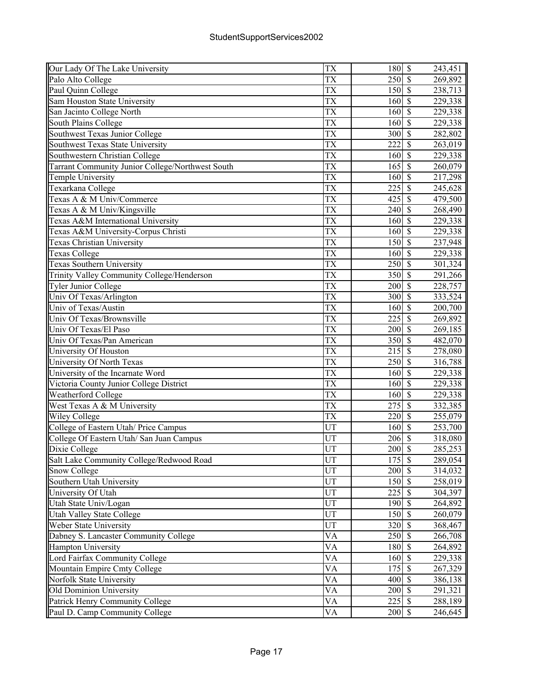| Our Lady Of The Lake University                          | TX                     | 180              | $\overline{\mathcal{S}}$                             | 243,451 |
|----------------------------------------------------------|------------------------|------------------|------------------------------------------------------|---------|
| Palo Alto College                                        | ТX                     | 250              | $\overline{\mathcal{S}}$                             | 269,892 |
| Paul Quinn College                                       | <b>TX</b>              | 150              | $\mathcal{S}$                                        | 238,713 |
| Sam Houston State University                             | TX                     | 160              | $\mathcal{S}$                                        | 229,338 |
| San Jacinto College North                                | <b>TX</b>              | 160              | $\mathcal{S}$                                        | 229,338 |
| South Plains College                                     | TX                     | 160              | $\mathcal{S}$                                        | 229,338 |
| Southwest Texas Junior College                           | <b>TX</b>              | 300              | $\overline{\mathcal{S}}$                             | 282,802 |
| Southwest Texas State University                         | TX                     | 222              | $\overline{\mathbf{s}}$                              | 263,019 |
| Southwestern Christian College                           | TX                     | 160              | $\overline{\mathcal{S}}$                             | 229,338 |
| Tarrant Community Junior College/Northwest South         | <b>TX</b>              | $\overline{165}$ | $\overline{\mathcal{S}}$                             | 260,079 |
| Temple University                                        | <b>TX</b>              | 160              | $\overline{\mathcal{S}}$                             | 217,298 |
| Texarkana College                                        | $\overline{\text{TX}}$ | 225              | $\overline{\mathcal{S}}$                             | 245,628 |
| Texas A & M Univ/Commerce                                | TX                     | 425              | $\overline{\mathcal{S}}$                             | 479,500 |
| Texas A & M Univ/Kingsville                              | TX                     | 240              | $\overline{\mathcal{S}}$                             | 268,490 |
| Texas A&M International University                       | TX                     | 160              | $\mathcal{S}$                                        | 229,338 |
| Texas A&M University-Corpus Christi                      | TX                     | 160              | $\mathcal{S}$                                        | 229,338 |
| Texas Christian University                               | TX                     | 150              | $\mathcal{S}$                                        | 237,948 |
|                                                          | TX                     | 160              | $\mathcal{S}$                                        |         |
| <b>Texas College</b><br><b>Texas Southern University</b> | <b>TX</b>              | 250              | $\overline{\mathcal{S}}$                             | 229,338 |
|                                                          |                        |                  |                                                      | 301,324 |
| Trinity Valley Community College/Henderson               | TX                     | 350              | $\overline{\mathcal{S}}$<br>$\overline{\mathcal{S}}$ | 291,266 |
| <b>Tyler Junior College</b>                              | <b>TX</b>              | 200              |                                                      | 228,757 |
| Univ Of Texas/Arlington                                  | TX                     | 300              | $\overline{\mathcal{S}}$                             | 333,524 |
| Univ of Texas/Austin                                     | TX                     | 160              | $\overline{\mathcal{S}}$                             | 200,700 |
| Univ Of Texas/Brownsville                                | <b>TX</b>              | 225              | $\overline{\mathcal{S}}$                             | 269,892 |
| Univ Of Texas/El Paso                                    | <b>TX</b>              | 200              | $\overline{\mathcal{S}}$                             | 269,185 |
| Univ Of Texas/Pan American                               | TX                     | 350              | $\overline{\mathcal{S}}$                             | 482,070 |
| University Of Houston                                    | TX                     | 215              | $\overline{\mathcal{S}}$                             | 278,080 |
| University Of North Texas                                | <b>TX</b>              | 250              | $\mathcal{S}$                                        | 316,788 |
| University of the Incarnate Word                         | TX                     | 160              | $\mathbf S$                                          | 229,338 |
| Victoria County Junior College District                  | <b>TX</b>              | 160              | $\mathcal{S}$                                        | 229,338 |
| Weatherford College                                      | TX                     | 160              | $\mathcal{S}$                                        | 229,338 |
| West Texas A & M University                              | <b>TX</b>              | 275              | $\overline{\mathcal{S}}$                             | 332,385 |
| <b>Wiley College</b>                                     | TX                     | 220              | $\overline{\mathcal{S}}$                             | 255,079 |
| College of Eastern Utah/ Price Campus                    | UT                     | 160              | $\mathcal{S}$                                        | 253,700 |
| College Of Eastern Utah/ San Juan Campus                 | UT                     | 206              | $\overline{\mathcal{S}}$                             | 318,080 |
| Dixie College                                            | UT                     | 200              | $\overline{\mathcal{S}}$                             | 285,253 |
| Salt Lake Community College/Redwood Road                 | UT                     | 175              | $\boldsymbol{\mathsf{S}}$                            | 289,054 |
| <b>Snow College</b>                                      | UT                     | 200              | $\overline{\mathcal{S}}$                             | 314,032 |
| Southern Utah University                                 | UT                     | 150              | $\overline{\mathcal{S}}$                             | 258,019 |
| University Of Utah                                       | UT                     | 225              | $\mathcal{S}$                                        | 304,397 |
| Utah State Univ/Logan                                    | UT                     | 190              | $\mathcal{S}$                                        | 264,892 |
| <b>Utah Valley State College</b>                         | UT                     | 150              | $\mathcal{S}$                                        | 260,079 |
| Weber State University                                   | UT                     | 320              | $\mathbf{\hat{s}}$                                   | 368,467 |
| Dabney S. Lancaster Community College                    | <b>VA</b>              | 250              | $\overline{\mathcal{S}}$                             | 266,708 |
| Hampton University                                       | VA                     | 180              | $\mathbf{\$}$                                        | 264,892 |
| Lord Fairfax Community College                           | VA                     | 160              | $\overline{\mathcal{S}}$                             | 229,338 |
| Mountain Empire Cmty College                             | <b>VA</b>              | 175              | $\overline{\mathcal{S}}$                             | 267,329 |
| Norfolk State University                                 | VA                     | 400              | $\overline{\mathcal{S}}$                             | 386,138 |
| Old Dominion University                                  | VA                     | 200              | $\overline{\mathcal{S}}$                             | 291,321 |
| Patrick Henry Community College                          | <b>VA</b>              | 225              | $\overline{\mathcal{S}}$                             | 288,189 |
| Paul D. Camp Community College                           | VA                     | 200              | $\overline{\mathcal{S}}$                             | 246,645 |
|                                                          |                        |                  |                                                      |         |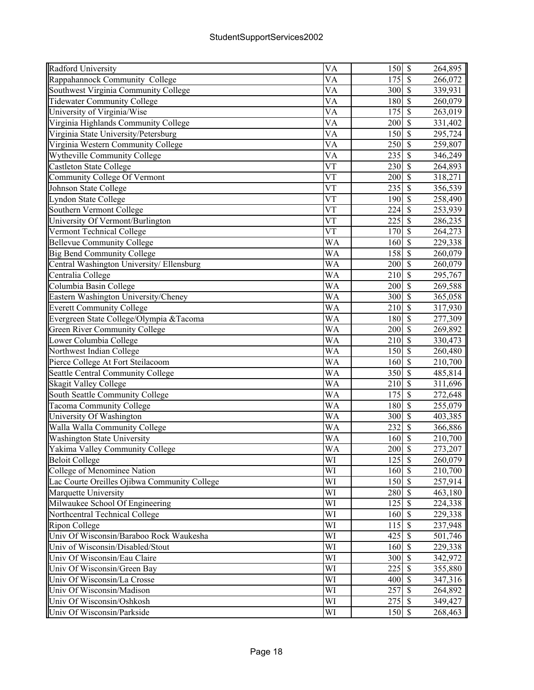| Radford University                           | VA                     | 150S                                               |                                                      | 264,895 |
|----------------------------------------------|------------------------|----------------------------------------------------|------------------------------------------------------|---------|
| Rappahannock Community College               | VA                     | 175                                                | $\mathcal{S}$                                        | 266,072 |
| Southwest Virginia Community College         | VA                     | 300                                                | $\mathcal{S}$                                        | 339,931 |
| <b>Tidewater Community College</b>           | VA                     | 180                                                | $\mathcal{S}$                                        | 260,079 |
| University of Virginia/Wise                  | VA                     | 175                                                | $\overline{\mathcal{S}}$                             | 263,019 |
| Virginia Highlands Community College         | VA                     | 200                                                | $\overline{\mathcal{S}}$                             | 331,402 |
| Virginia State University/Petersburg         | VA                     | 150                                                | $\overline{\mathcal{S}}$                             | 295,724 |
| Virginia Western Community College           | $\overline{\text{VA}}$ | 250                                                | $\overline{\mathcal{S}}$                             | 259,807 |
| Wytheville Community College                 | VA                     | 235                                                | $\overline{\mathcal{S}}$                             | 346,249 |
| <b>Castleton State College</b>               | VT                     | 230                                                | $\overline{\mathcal{S}}$                             | 264,893 |
| <b>Community College Of Vermont</b>          | $\overline{\text{VT}}$ | 200                                                | $\overline{\mathcal{S}}$                             | 318,271 |
| Johnson State College                        | VT                     | 235                                                | $\overline{\mathcal{S}}$                             | 356,539 |
| <b>Lyndon State College</b>                  | $\overline{\text{VT}}$ | 190                                                | $\overline{\mathcal{S}}$                             | 258,490 |
| Southern Vermont College                     | VT                     | 224                                                | $\mathcal{S}$                                        | 253,939 |
| University Of Vermont/Burlington             | VT                     | 225                                                | $\mathcal{S}$                                        | 286,235 |
| Vermont Technical College                    | $V\bar{T}$             | 170                                                | $\mathcal{S}$                                        | 264,273 |
| <b>Bellevue Community College</b>            | WA                     | 160                                                | $\mathcal{S}$                                        | 229,338 |
| <b>Big Bend Community College</b>            | WA                     | 158                                                | $\sqrt{\frac{2}{\pi}}$                               | 260,079 |
| Central Washington University/ Ellensburg    | WA                     | 200                                                | $\overline{\mathcal{S}}$                             | 260,079 |
|                                              |                        |                                                    | $\overline{\mathcal{S}}$                             |         |
| Centralia College                            | WA                     | 210                                                | $\overline{\mathcal{S}}$                             | 295,767 |
| Columbia Basin College                       | WA                     | 200                                                |                                                      | 269,588 |
| Eastern Washington University/Cheney         | WA                     | 300                                                | $\overline{\mathcal{S}}$<br>$\overline{\mathcal{S}}$ | 365,058 |
| <b>Everett Community College</b>             | <b>WA</b>              | 210                                                |                                                      | 317,930 |
| Evergreen State College/Olympia & Tacoma     | $\overline{\text{WA}}$ | 180                                                | $\overline{\mathcal{S}}$                             | 277,309 |
| <b>Green River Community College</b>         | WA                     | 200                                                | $\overline{\mathcal{S}}$                             | 269,892 |
| Lower Columbia College                       | WA                     | 210                                                | $\mathcal{S}$                                        | 330,473 |
| Northwest Indian College                     | WA                     | 150                                                | $\mathcal{S}$                                        | 260,480 |
| Pierce College At Fort Steilacoom            | WA                     | 160                                                | $\mathcal{S}$                                        | 210,700 |
| <b>Seattle Central Community College</b>     | WA                     | 350                                                | $\mathcal{S}$                                        | 485,814 |
| <b>Skagit Valley College</b>                 | WA                     | 210                                                | $\overline{\mathcal{S}}$                             | 311,696 |
| South Seattle Community College              | $\overline{\text{WA}}$ | 175                                                | $\overline{\mathcal{S}}$                             | 272,648 |
| <b>Tacoma Community College</b>              | WA                     | 180                                                | $\mathcal{S}$                                        | 255,079 |
| University Of Washington                     | <b>WA</b>              | 300                                                | $\overline{\mathcal{S}}$                             | 403,385 |
| Walla Walla Community College                | $\overline{\text{WA}}$ | 232                                                | $\overline{\mathcal{S}}$                             | 366,886 |
| <b>Washington State University</b>           | WA                     | 160                                                | $\overline{\mathcal{S}}$                             | 210,700 |
| <b>Yakima Valley Community College</b>       | $\overline{\text{WA}}$ | $200 \text{ s}$                                    |                                                      | 273,207 |
| <b>Beloit College</b>                        | WI                     | $125$ \$                                           |                                                      | 260,079 |
| College of Menominee Nation                  | WI                     | 160S                                               |                                                      | 210,700 |
| Lac Courte Oreilles Ojibwa Community College | WI                     | 150 \$                                             |                                                      | 257,914 |
| Marquette University                         | WI                     | 280                                                | $\mathbf{\hat{S}}$                                   | 463,180 |
| Milwaukee School Of Engineering              | WI                     | 125                                                | \$                                                   | 224,338 |
| Northcentral Technical College               | WI                     | 160                                                | $\mathbf{\hat{s}}$                                   | 229,338 |
| <b>Ripon College</b>                         | WI                     | $115$ \$                                           |                                                      | 237,948 |
| Univ Of Wisconsin/Baraboo Rock Waukesha      | WI                     | $425 \overline{\smash{)}\, \overline{\smash{)}}\,$ |                                                      | 501,746 |
| Univ of Wisconsin/Disabled/Stout             | WI                     | 160S                                               |                                                      | 229,338 |
| Univ Of Wisconsin/Eau Claire                 | WI                     | 300                                                | $\overline{\mathcal{S}}$                             | 342,972 |
| Univ Of Wisconsin/Green Bay                  | WI                     | 225                                                | $\overline{\mathcal{S}}$                             | 355,880 |
| Univ Of Wisconsin/La Crosse                  | WI                     | 400                                                | $\sqrt{S}$                                           | 347,316 |
| Univ Of Wisconsin/Madison                    | WI                     | 257                                                | $\sqrt{S}$                                           | 264,892 |
| Univ Of Wisconsin/Oshkosh                    | WI                     | $275$ \$                                           |                                                      | 349,427 |
| Univ Of Wisconsin/Parkside                   | WI                     | 150 \$                                             |                                                      | 268,463 |